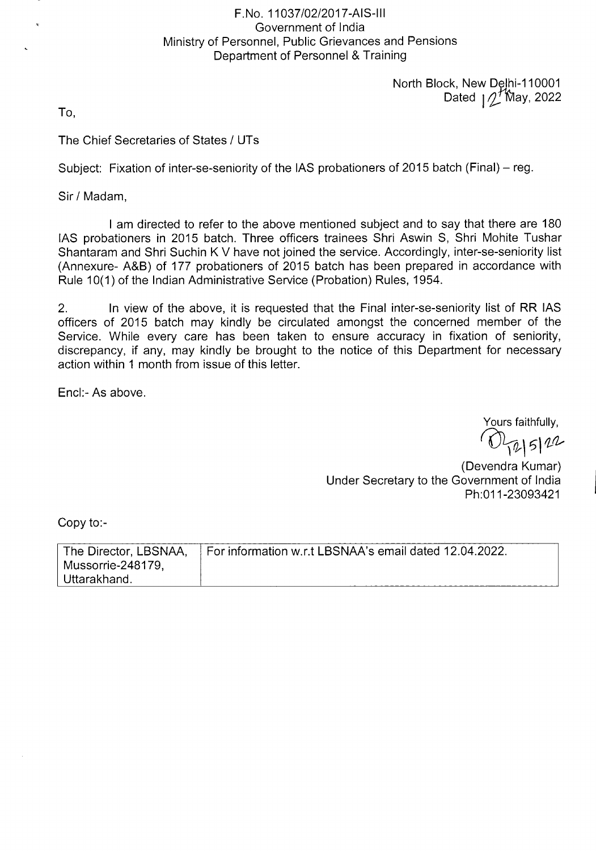## F.No. 11037/02/2017-AIS-Ill Government of India Ministry of Personnel, Public Grievances and Pensions Department of Personnel & Training

North Block, New Dejhi-1 10001 Dated  $\sqrt{2}$  May, 2022

To,

The Chief Secretaries of States / UTs

Subject: Fixation of inter-se-seniority of the lAS probationers of 2015 batch (Final) — reg.

Sir/Madam,

I am directed to refer to the above mentioned subject and to say that there are 180 lAS probationers in 2015 batch. Three officers trainees Shri Aswin 5, Shri Mohite Tushar Shantaram and Shri Suchin K V have not joined the service. Accordingly, inter-se-seniority list (Annexure- A&B) of 177 probationers of 2015 batch has been prepared in accordance with Rule 10(1) of the Indian Administrative Service (Probation) Rules, 1954.

2. In view of the above, it is requested that the Final inter-se-seniority list of RR lAS officers of 2015 batch may kindly be circulated amongst the concerned member of the Service. While every care has been taken to ensure accuracy in fixation of seniority, discrepancy, if any, may kindly be brought to the notice of this Department for necessary action within 1 month from issue of this letter.

End:- As above.

Yours faithfully,

12/5/22

(Devendra Kumar) Under Secretary to the Government of India Ph:011-23093421

Copy to:-

| The Director, LBSNAA, | For information w.r.t LBSNAA's email dated 12.04.2022. |
|-----------------------|--------------------------------------------------------|
| Mussorrie-248179.     |                                                        |
| Uttarakhand.          |                                                        |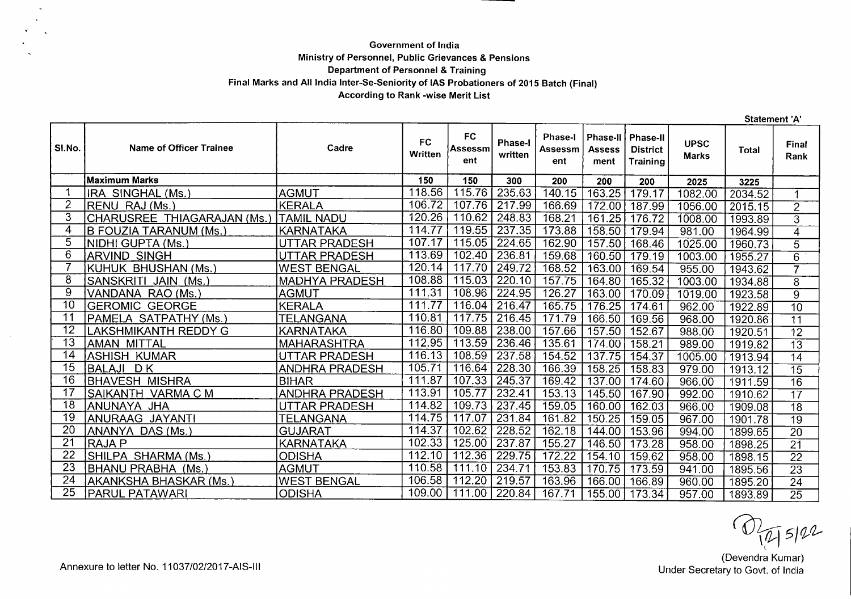## **Government of India Ministry of Personnel, Public Grievances & Pensions Department of Personnel** & **Training Final Marks and All India Inter-Se-Seniority of lAS Probationers of 2015 Batch (Final) According to Rank -wise Merit List**

**Statement 'A' FC Phase-I Phase-Il Phase-Il SI.No.** Name of Officer Trainee **Replace SI.No. Cadre Phase-I UPSC Marks Total Final Assessm Assessm Assess District . Written written Rank ent ent ment Training Maximum Marks 150 150 300 200 200 200 2025 3225**  1 RA SINGHAL(Ms.) AGMUT 118.56 115.76 235.63 140.15 163.25 179.17 1082.00 2034.52 1<br>2 RENU RAJ(Ms.) KERALA 106.72 107.76 217.99 166.69 172.00 187.99 1056.00 2015.15 2 2 RENU RAJ (Ms.) KERALA 106.72 107.76 217.99 166.69 172.00 187.99 1056.00 2015.15 2 3 CHARUSREE THIAGARAJAN (Ms.) TAMIL NADU 120.26 110.62 248.83 168.21 161.25 176.72 1008.00 1993.89 3<br>4 B FOUZIA TARANUM (Ms.) KARNATAKA 114.77 119.55 237.35 173.88 158.50 179.94 981.00 1964.99 4 4 B FOUZIATARANUM (Ms.) KARNATAKA 114.77 119.55 237.35 173.88 158.50 179.94 981.00 1964.99 4 5 NIDHIGUPTA(Ms.) UTTARPRADESH 107.17 115.05 224.65 162.90 157.50 168.46 1025.00 1960.73 5 0 ARVIND SINGLESH 113.69 102.40 236.81 159.68 160.50 179.19 1003.00 1003.00 169.54 179.19 1003.00 100 179.19 1 7 KUHUK BHUSHAN(Ms.) WEST BENGAL 120.14 117.70 249.72 168.52 163.00169.54 955.00 1943.62 7 8 SANSKRITI JAIN (Ms.) MADHYA PRADESH 108.88 115.03 220.10 157.75 164.80 165.32 1003.00 1934.88 8 9 |VANDANA RAO(Ms.) |AGMUT | 111.31 | 108.96 | 224.95 | 126.27 | 163.00 | 170.09 | 1019.00 | 1923.58 | 9<br>10 |GEROMIC GEORGE |KERALA | 111.77 | 116.04 | 216.47 | 165.75 | 176.25 | 174.61 | 962.00 | 10 |GEROMIC GEORGE |KERALA | 111.77 | 116.04 | 216.47 | 165.75 | 176.25 | 174.61 | 962.00 | 1922.89 | 10<br>11 |PAMELA SATPATHY (Ms.) | TELANGANA | 110.81 | 117.75 | 2 11 |PAMELA SATPATHY(Ms.) TELANGANA 110.81 | 110.81 | 117.75 | 216.45 | 171.79 | 166.50 | 169.56 | 968.00 | 1920.86 | 11<br>12 |LAKSHMIKANTH REDDY G | KARNATAKA | 116.80 | 109.88 | 238.00 | 157.66 | 157.50 | 152.67 | 988.00 | 12 LAKSHMIKANTH REDDYG KARNATAKA 116.80 109.88 238.00 157.66 157.50 152.67 988.00 1920.51 12 13 AMAN MITTAL MAHARASHTRA 112.95 113.59 236.46 135.61 174.00 158.21 989.00 1919.82 13 14 ASHISH KUMAR UTTAR PRADESH 116.13 108.59 237.58 154.52 137.75 154.37 1005.00 1913.94 14<br>15 BALAJI DK ANDHRA PRADESH 105.71 116.64 228.30 166.3 15 BALAJI D.K ANDHRA PRADESH 105.71 116.64 228.30 166.39 158.25 158.83 979.00 1913.12 15<br>16 BHAVESH MISHRA BIHAR 111.87 107.33 245.37 16 BHAVESH MISHRA BIHAR 111.87 107.33 245.37 169.42 137.00 174.60 966.00 1911.59 16 - 17 SAIKANTH VARMA C M ANDHRA PRADESH 113.91 105.77 232.41 153.13 145.50 167.90 992.00 1910.62 17<br>18 ANUNAYA JHA UTTAR PRADESH 14.82 109.73 237.45 159.05 160.00 162.03 966.00 1909.08 18 18 ANUNAYA JHA UTTAR PRADESH 114.82 109.73 237.45 159.05 160.00 162.03 966.00 1909.08 18 19 ANURAAG JAYANTI TELANGANA 114.75 117.07 231.84 161.82 150.25 159.05 967.00 1901.78 19 20 ANANYA DAS (Ms.) GUJARAT 114.37 102.62 228.52 162.18 144.00 153.96 994.00 1899.65 20 21 RAJAP KARNATAKA 102.33 125.00 237.87 155.27 146.50 173.28 958.00 1898.25 21 22 SHILPA SHARMA(Ms.) ODISHA 112.10 112.36 229.75 172.22 154.10 159.62 958.00 1898.15 22 23 BHANU PRABHA (Ms.) |AGMUT | 110.58 | 111.10 | 234.71 | 153.83 | 170.75 | 173.59 | \_941.00 \_ 1895.56 | \_ 23<br>24 AKANKSHA BHASKAR (Ms.) |WEST BENGAL | 106.58 | 112.20 | 219.57 | 163.96 | 166.00 | 166.8 24 AKANKSHA BHASKAR(Ms.) WEST BENGAL 106.58 112.20 219.57 163.96 166.00 166.89 960.00 1895.20 24 25 PARULPATAWARI ODISHA 109.00 111.00 220.84 167.71 155.00 173.34 957.00 1893.89 25

 $U_{\sqrt{2}}$  5/22

(Devendra Kumar) Under Secretary to Govt. of India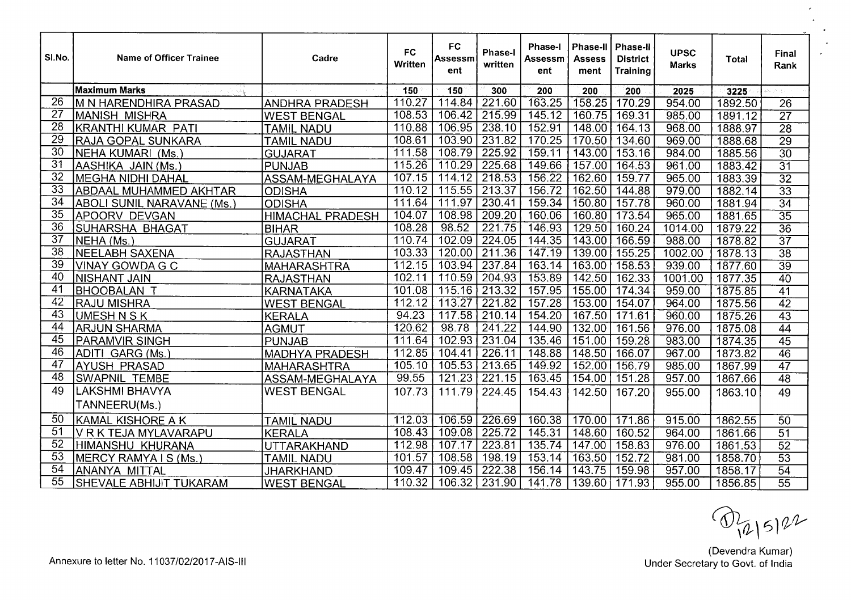| SI.No.          | <b>Name of Officer Trainee</b>    | Cadre                   | <b>FC</b><br>Written | <b>FC</b><br>Assessm<br>ent | <b>Phase-I</b><br>written | <b>Phase-I</b><br>Assessm<br>ent | <b>Phase-II</b><br>Assess<br>ment | ∣ Phase-II<br><b>District</b><br><b>Training</b> | <b>UPSC</b><br><b>Marks</b> | Total   | Final<br>Rank   |
|-----------------|-----------------------------------|-------------------------|----------------------|-----------------------------|---------------------------|----------------------------------|-----------------------------------|--------------------------------------------------|-----------------------------|---------|-----------------|
|                 | <b>Maximum Marks</b>              |                         | 150                  | 150                         | 300                       | 200                              | 200                               | 200                                              | 2025                        | 3225    |                 |
| 26              | <b>M N HARENDHIRA PRASAD</b>      | <b>ANDHRA PRADESH</b>   | 110.27               | 114.84                      | 221.60                    | 163.25                           | 158.25                            | 170.29                                           | 954.00                      | 1892.50 | $\overline{26}$ |
| 27              | IMANISH MISHRA                    | <b>WEST BENGAL</b>      | 108.53               | 106.42                      | 215.99                    | 145.12                           | 160.75                            | 169.31                                           | 985.00                      | 1891.12 | $\overline{27}$ |
| 28              | KRANTHI KUMAR PATI                | <b>TAMIL NADU</b>       | 110.88               | 106.95                      | 238.10                    | 152.91                           | 148.00                            | 164.13                                           | 968.00                      | 1888.97 | $\overline{28}$ |
| 29              | RAJA GOPAL SUNKARA                | <b>TAMIL NADU</b>       | 108.61               | 103.90                      | 231.82                    | 170.25                           | 170.50                            | 134.60                                           | 969.00                      | 1888.68 | $\overline{29}$ |
| $\overline{30}$ | NEHA KUMARI (Ms.                  | GUJARAT                 | 111.58               | 108.79                      | 225.92                    | 159.11                           | 143.00                            | 153.16                                           | 984.00                      | 1885.56 | $\overline{30}$ |
| $\overline{31}$ | AASHIKA JAIN (Ms.)                | IPUNJAB                 | 115.26               | 110.29                      | 225.68                    | 149.66                           | 157.00                            | 164.53                                           | 961.00                      | 1883.42 | $\overline{31}$ |
| 32              | MEGHA NIDHI DAHAL                 | ASSAM-MEGHALAYA         | 107.15               | 114.12                      | 218.53                    | 156.22                           | 162.60                            | 159.77                                           | 965.00                      | 1883.39 | $\overline{32}$ |
| 33              | <b>ABDAAL MUHAMMED AKHTAR</b>     | <b>ODISHA</b>           | 110.12               | 115.55                      | 213.37                    | 156.72                           | 162.50                            | 144.88                                           | 979.00                      | 1882.14 | $\overline{33}$ |
| 34              | <b>ABOLI SUNIL NARAVANE (Ms.)</b> | <b>ODISHA</b>           | 111.64               | 111.97                      | 230.41                    | 159.34                           | 150.80                            | 157.78                                           | 960.00                      | 1881.94 | $\overline{34}$ |
| $\overline{35}$ | APOORV DEVGAN                     | <b>HIMACHAL PRADESH</b> | 104.07               | 108.98                      | 209.20                    | 160.06                           | 160.80                            | 173.54                                           | 965.00                      | 1881.65 | $\overline{35}$ |
| 36              | SUHARSHA BHAGAT                   | <b>BIHAR</b>            | 108.28               | 98.52                       | 221.75                    | 146.93                           | 129.50                            | 160.24                                           | 1014.00                     | 1879.22 | $\overline{36}$ |
| $\overline{37}$ | NEHA (Ms.)                        | <b>GUJARAT</b>          | 110.74               | 102.09                      | 224.05                    | 144.35                           | 143.00                            | 166.59                                           | 988.00                      | 1878.82 | $\overline{37}$ |
| 38              | NEELABH SAXENA                    | <b>RAJASTHAN</b>        | 103.33               | 120.00                      | 211.36                    | 147.19                           | 139.00                            | 155.25                                           | 1002.00                     | 1878.13 | $\overline{38}$ |
| $\overline{39}$ | VINAY GOWDA G C                   | <b>MAHARASHTRA</b>      | 112.15               | 103.94                      | 237.84                    | 163.14                           | 163.00                            | 158.53                                           | 939.00                      | 1877.60 | $\overline{39}$ |
| 40              | <b>NISHANT JAIN</b>               | <b>RAJASTHAN</b>        | 102.11               | 110.59                      | 204.93                    | 153.89                           | 142.50                            | 162.33                                           | 1001.00                     | 1877.35 | $\overline{40}$ |
| 41              | BHOOBALAN T                       | KARNATAKA               | 101.08               | 115.16                      | 213.32                    | 157.95                           | 155.00                            | 174.34                                           | 959.00                      | 1875.85 | $\overline{41}$ |
| 42              | IRAJU MISHRA                      | <b>WEST BENGAL</b>      | 112.12               | 113.27                      | 221.82                    | 157.28                           | 153.00                            | 154.07                                           | 964.00                      | 1875.56 | $\overline{42}$ |
| 43              | UMESH N S K                       | KERALA                  | 94.23                | 117.58                      | 210.14                    | 154.20                           | 167.50                            | 171.61                                           | 960.00                      | 1875.26 | $\overline{43}$ |
| 44              | <b>ARJUN SHARMA</b>               | <b>AGMUT</b>            | 120.62               | 98.78                       | 241.22                    | 144.90                           | 132.00                            | 161.56                                           | 976.00                      | 1875.08 | $\overline{44}$ |
| $\overline{45}$ | <b>PARAMVIR SINGH</b>             | PUNJAB                  | 111.64               | 102.93                      | 231.04                    | 135.46                           | 151.00                            | 159.28                                           | 983.00                      | 1874.35 | $\overline{45}$ |
| 46              | ADITI GARG (Ms.)                  | <b>MADHYA PRADESH</b>   | 112.85               | 104.41                      | 226.11                    | 148.88                           | 148.50                            | 166.07                                           | 967.00                      | 1873.82 | 46              |
| 47              | AYUSH PRASAD                      | MAHARASHTRA             | 105.10               | 105.53                      | 213.65                    | 149.92                           | 152.00                            | 156.79                                           | 985.00                      | 1867.99 | 47              |
| 48              | <b>SWAPNIL TEMBE</b>              | ASSAM-MEGHALAYA         | 99.55                | 121.23                      | 221.15                    | 163.45                           | 154.00                            | 151.28                                           | 957.00                      | 1867.66 | 48              |
| 49              | LAKSHMI BHAVYA                    | <b>WEST BENGAL</b>      | 107.73               | 111.79                      | 224.45                    | 154.43                           | 142.50                            | 167.20                                           | 955.00                      | 1863.10 | 49              |
|                 | TANNEERU(Ms.)                     |                         |                      |                             |                           |                                  |                                   |                                                  |                             |         |                 |
| 50              | <b>KAMAL KISHORE A K</b>          | <b>TAMIL NADU</b>       | 112.03               | 106.59                      | 226.69                    | 160.38                           | 170.00                            | 171.86                                           | 915.00                      | 1862.55 | 50              |
| 51              | VRKTEJA MYLAVARAPU                | <b>KERALA</b>           | 108.43               | 109.08                      | 225.72                    | 145.31                           | 148.60                            | 160.52                                           | 964.00                      | 1861.66 | 51              |
| $\overline{52}$ | <b>HIMANSHU KHURANA</b>           | UTTARAKHAND             | 112.98               | 107.17                      | 223.81                    | 135.74                           | 147.00                            | 158.83                                           | 976.00                      | 1861.53 | 52              |
| 53              | MERCY RAMYA I S (Ms.)             | <b>TAMIL NADU</b>       | 101.57               | 108.58                      | 198.19                    | 153.14                           | 163.50                            | 152.72                                           | 981.00                      | 1858.70 | $\overline{53}$ |
| $\overline{54}$ | ANANYA MITTAL                     | <b>JHARKHAND</b>        | 109.47               | 109.45                      | 222.38                    | 156.14                           | 143.75                            | 159.98                                           | 957.00                      | 1858.17 | 54              |
| 55              | SHEVALE ABHIJIT TUKARAM           | <b>WEST BENGAL</b>      | 110.32               |                             | 106.32   231.90           | 141.78                           |                                   | 139.60 171.93                                    | 955.00                      | 1856.85 | $\overline{55}$ |

 $O_{(2|5)22}$ 

 $\overline{ }$ 

(Devendra Kumar) Annexure to letter No. 11037/02/2017-AIS-III and the Material Control of India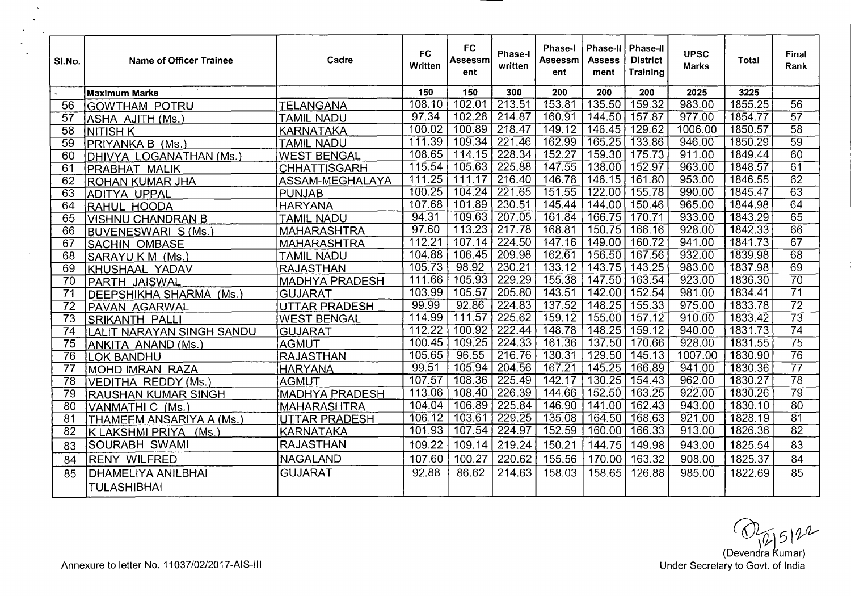| SI.No.          | <b>Name of Officer Trainee</b> | Cadre                 | FC<br>Written      | <b>FC</b><br>Assessm<br>ent | Phase-I<br>written         | <b>Phase-I</b><br>Assessm<br>ent | Phase-II<br><b>Assess</b><br>ment | <b>Phase-II</b><br><b>District</b><br>Trainino | <b>UPSC</b><br><b>Marks</b> | <b>Total</b> | Final<br>Rank   |
|-----------------|--------------------------------|-----------------------|--------------------|-----------------------------|----------------------------|----------------------------------|-----------------------------------|------------------------------------------------|-----------------------------|--------------|-----------------|
|                 | <b>Maximum Marks</b>           |                       | 150                | 150                         | 300                        | 200                              | 200                               | 200                                            | 2025                        | 3225         |                 |
| 56              | <b>GOWTHAM POTRU</b>           | <b>TELANGANA</b>      | 108.10             | 102.01                      | 213.51                     | 153.81                           | 135.50                            | 159.32                                         | 983.00                      | 1855.25      | $\overline{56}$ |
| 57              | ASHA AJITH (Ms.)               | <b>TAMIL NADU</b>     | 97.34              |                             | $\overline{102.28}$ 214.87 | 160.91                           | 144.50                            | 157.87                                         | 977.00                      | 1854.77      | $\overline{57}$ |
| $\overline{58}$ | INITISH K                      | KARNATAKA             | 100.02             |                             | 100.89 218.47              | 149.12                           | 146.45                            | 129.62                                         | 1006.00                     | 1850.57      | $\overline{58}$ |
| $\overline{59}$ | PRIYANKA B (Ms.                | <b>TAMIL NADU</b>     | 111.39             |                             | 109.34   221.46            | 162.99                           | 165.25                            | 133.86                                         | 946.00                      | 1850.29      | $\overline{59}$ |
| 60              | DHIVYA LOGANATHAN (Ms.)        | <b>WEST BENGAL</b>    | 108.65             | 114.15                      | 228.34                     | 152.27                           | 159.30                            | 175.73                                         | 911.00                      | 1849.44      | 60              |
| 61              | PRABHAT MALIK                  | <b>CHHATTISGARH</b>   | 115.54             |                             | 105.63 225.88              | 147.55                           | 138.00                            | 152.97                                         | 963.00                      | 1848.57      | $\overline{61}$ |
| 62              | <b>IROHAN KUMAR JHA</b>        | ASSAM-MEGHALAYA       | 111.25             | 111.17                      | 216.40                     | 146.78                           | 146.15                            | 161.80                                         | 953.00                      | 1846.55      | $\overline{62}$ |
| 63              | ADITYA UPPAL                   | PUNJAB                | 100.25             |                             | 104.24 221.65              | 151.55                           | 122.00                            | 155.78                                         | 990.00                      | 1845.47      | $\overline{63}$ |
| 64              | RAHUL HOODA                    | <b>HARYANA</b>        | 107.68             | 101.89 230.51               |                            | 145.44                           | 144.00                            | $150.\overline{46}$                            | 965.00                      | 1844.98      | 64              |
| 65              | VISHNU CHANDRAN B              | <b>TAMIL NADU</b>     | $\overline{94.31}$ |                             | 109.63 207.05              | 161.84                           | 166.75                            | 170.71                                         | 933.00                      | 1843.29      | $\overline{65}$ |
| 66              | BUVENESWARI S (Ms.)            | <b>MAHARASHTRA</b>    | 97.60              |                             | 113.23 217.78              | 168.81                           | 150.75                            | 166.16                                         | 928.00                      | 1842.33      | 66              |
| 67              | <b>SACHIN OMBASE</b>           | <b>MAHARASHTRA</b>    | 112.21             | 107.14                      | 224.50                     | 147.16                           | 149.00                            | 160.72                                         | 941.00                      | 1841.73      | $\overline{67}$ |
| 68              | SARAYU K M (Ms.                | <b>TAMIL NADU</b>     | 104.88             | 106.45                      | 209.98                     | 162.61                           | 156.50                            | 167.56                                         | 932.00                      | 1839.98      | 68              |
| 69              | KHUSHAAL YADAV                 | <b>RAJASTHAN</b>      | 105.73             | 98.92                       | 230.21                     | 133.12                           | 143.75                            | 143.25                                         | 983.00                      | 1837.98      | 69              |
| $\overline{70}$ | PARTH JAISWAL                  | <b>MADHYA PRADESH</b> | 111.66             | $\overline{105.93}$         | 229.29                     | 155.38                           | 147.50                            | 163.54                                         | 923.00                      | 1836.30      | $\overline{70}$ |
| 71              | DEEPSHIKHA SHARMA (Ms.)        | <b>GUJARAT</b>        | 103.99             | 105.57                      | 205.80                     | 143.51                           | 142.00                            | 152.54                                         | 981.00                      | 1834.41      | $\overline{71}$ |
| $\overline{72}$ | PAVAN AGARWAL                  | UTTAR PRADESH         | 99.99              | 92.86                       | 224.83                     | 137.52                           | 148.25                            | 155.33                                         | 975.00                      | 1833.78      | $\overline{72}$ |
| $\overline{73}$ | <b>SRIKANTH PALLI</b>          | <b>WEST BENGAL</b>    | 114.99             | 111.57                      | 225.62                     | 159.12                           | 155.00                            | 157.12                                         | 910.00                      | 1833.42      | $\overline{73}$ |
| $\overline{74}$ | LALIT NARAYAN SINGH SANDU      | <b>GUJARAT</b>        | 112.22             | 100.92                      | 222.44                     | 148.78                           | 148.25                            | 159.12                                         | 940.00                      | 1831.73      | $\overline{74}$ |
| 75              | ANKITA ANAND (Ms.)             | <b>AGMUT</b>          | 100.45             | 109.25                      | 224.33                     | 161.36                           | 137.50                            | 170.66                                         | 928.00                      | 1831.55      | $\overline{75}$ |
| $\overline{76}$ | <b>LOK BANDHU</b>              | <b>RAJASTHAN</b>      | 105.65             | 96.55                       | 216.76                     | 130.31                           | 129.50                            | 145.13                                         | 1007.00                     | 1830.90      | $\overline{76}$ |
| 77              | MOHD IMRAN RAZA                | <b>HARYANA</b>        | 99.51              | 105.94                      | $\sqrt{204.56}$            | 167.21                           | 145.25                            | 166.89                                         | 941.00                      | 1830.36      | $\overline{77}$ |
| $\overline{78}$ | VEDITHA REDDY (Ms.)            | <b>AGMUT</b>          | 107.57             | 108.36                      | 225.49                     | 142.17                           | 130.25                            | 154.43                                         | 962.00                      | 1830.27      | $\overline{78}$ |
| 79              | <b>RAUSHAN KUMAR SINGH</b>     | <b>MADHYA PRADESH</b> | 113.06             | 108.40                      | 226.39                     | 144.66                           | 152.50                            | 163.25                                         | 922.00                      | 1830.26      | $\overline{79}$ |
| 80              | VANMATHI C (Ms.)               | <b>MAHARASHTRA</b>    | 104.04             | 106.89                      | 225.84                     | 146.90                           | 141.00                            | 162.43                                         | 943.00                      | 1830.10      | $\overline{80}$ |
| 81              | THAMEEM ANSARIYA A (Ms.)       | UTTAR PRADESH         | 106.12             | 103.61                      | 229.25                     | 135.08                           | 164.50                            | 168.63                                         | 921.00                      | 1828.19      | $\overline{81}$ |
| 82              | K LAKSHMI PRIYA (Ms.)          | <b>KARNATAKA</b>      | 101.93             | 107.54                      | 224.97                     | 152.59                           | 160.00                            | 166.33                                         | 913.00                      | 1826.36      | $\overline{82}$ |
| 83              | SOURABH SWAMI                  | <b>RAJASTHAN</b>      | 109.22             | 109.14                      | 219.24                     | 150.21                           | 144.75                            | 149.98                                         | 943.00                      | 1825.54      | 83              |
| 84              | <b>RENY WILFRED</b>            | <b>NAGALAND</b>       | 107.60             | 100.27                      | 220.62                     | 155.56                           | 170.00                            | 163.32                                         | 908.00                      | 1825.37      | 84              |
| 85              | <b>DHAMELIYA ANILBHAI</b>      | <b>GUJARAT</b>        | 92.88              | 86.62                       | 214.63                     | 158.03                           | 158.65                            | 126.88                                         | 985.00                      | 1822.69      | 85              |
|                 | <b>TULASHIBHAI</b>             |                       |                    |                             |                            |                                  |                                   |                                                |                             |              |                 |

 $\bigotimes_{\mathcal{U}} \bigcup_{\mathcal{I}} \bigotimes \mathcal{U}$ <br>(Devendra Kumar)<br>Under Secretary to Govt. of India

 $\sim$ 

**Contract**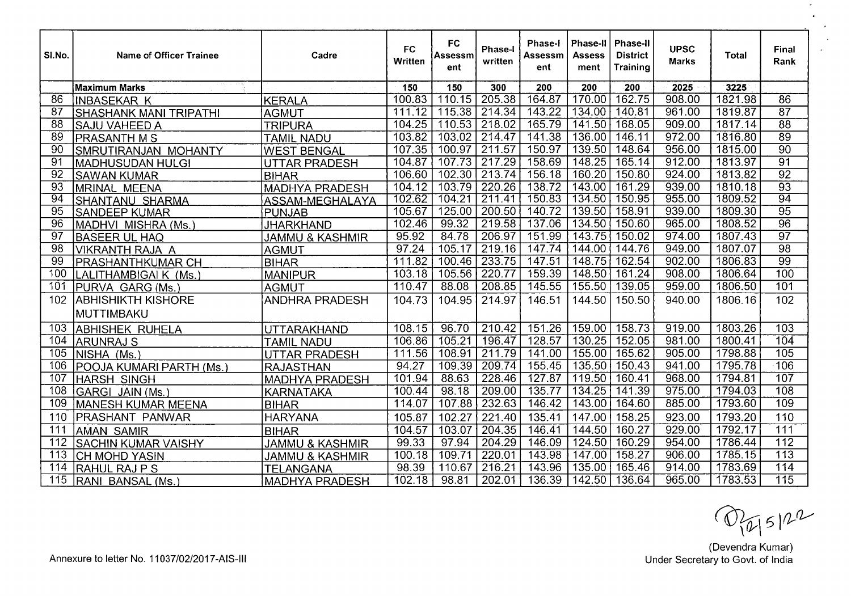| SI.No.           | Name of Officer Trainee                 | Cadre                      | <b>FC</b><br>Written | FC<br>Assessm<br>ent | <b>Phase-I</b><br>written | <b>Phase-I</b><br>Assessm<br>ent | <b>Phase-II</b><br>Assess<br>ment | <b>Phase-II</b><br><b>District</b><br><b>Training</b> | <b>UPSC</b><br><b>Marks</b> | Total   | Final<br>Rank    |
|------------------|-----------------------------------------|----------------------------|----------------------|----------------------|---------------------------|----------------------------------|-----------------------------------|-------------------------------------------------------|-----------------------------|---------|------------------|
|                  | Maximum Marks                           |                            | 150                  | 150                  | 300                       | 200                              | 200                               | 200                                                   | 2025                        | 3225    |                  |
| 86               | <b>INBASEKAR K</b>                      | KERALA                     | 100.83               | 110.15               | 205.38                    | 164.87                           | 170.00                            | 162.75                                                | 908.00                      | 1821.98 | $\overline{86}$  |
| $\overline{87}$  | <b>SHASHANK MANI TRIPATHI</b>           | <b>AGMUT</b>               | 111.12               | 115.38               | 214.34                    | 143.22                           | 134.00                            | 140.81                                                | 961.00                      | 1819.87 | $\overline{87}$  |
| $\overline{88}$  | <b>SAJU VAHEED A</b>                    | <b>TRIPURA</b>             | 104.25               | 110.53               | 218.02                    | 165.79                           | 141.50                            | 168.05                                                | 909.00                      | 1817.14 | $\overline{88}$  |
| 89               | <b>PRASANTH M S</b>                     | <b>TAMIL NADU</b>          | 103.82               | 103.02               | 214.47                    | 141.38                           | 136.00                            | 146.11                                                | 972.00                      | 1816.80 | 89               |
| 90               | SMRUTIRANJAN MOHANTY                    | <b>WEST BENGAL</b>         | 107.35               | 100.97               | 211.57                    | 150.97                           | 139.50                            | 148.64                                                | 956.00                      | 1815.00 | $\overline{90}$  |
| $\overline{91}$  | MADHUSUDAN HULGI                        | <b>UTTAR PRADESH</b>       | 104.87               | 107.73               | 217.29                    | 158.69                           | 148.25                            | 165.14                                                | 912.00                      | 1813.97 | $\overline{91}$  |
| $\overline{92}$  | <b>SAWAN KUMAR</b>                      | <b>BIHAR</b>               | 106.60               | 102.30               | 213.74                    | 156.18                           | 160.20                            | 150.80                                                | 924.00                      | 1813.82 | $\overline{92}$  |
| 93               | <b>IMRINAL MEENA</b>                    | <b>MADHYA PRADESH</b>      | 104.12               | 103.79               | $\overline{220.26}$       | 138.72                           | 143.00                            | 161.29                                                | 939.00                      | 1810.18 | $\overline{93}$  |
| 94               | SHANTANU SHARMA                         | ASSAM-MEGHALAYA            | 102.62               | 104.21               | 211.41                    | 150.83                           | 134.50                            | 150.95                                                | 955.00                      | 1809.52 | $\overline{94}$  |
| 95               | <b>SANDEEP KUMAR</b>                    | PUNJAB                     | 105.67               | 125.00               | 200.50                    | 140.72                           | 139.50                            | 158.91                                                | 939.00                      | 1809.30 | $\overline{95}$  |
| 96               | MADHVI MISHRA (Ms.)                     | JHARKHAND                  | 102.46               | 99.32                | 219.58                    | 137.06                           | 134.50                            | 150.60                                                | 965.00                      | 1808.52 | $\overline{96}$  |
| $\overline{97}$  | <b>BASEER UL HAQ</b>                    | <b>JAMMU &amp; KASHMIR</b> | 95.92                | 84.78                | 206.97                    | 151.99                           | 143.75                            | 150.02                                                | 974.00                      | 1807.43 | $\overline{97}$  |
| 98               | <b>VIKRANTH RAJA A</b>                  | <b>AGMUT</b>               | 97.24                | 105.17               | 219.16                    | 147.74                           | 144.00                            | 144.76                                                | 949.00                      | 1807.07 | $\overline{98}$  |
| 99               | <b>PRASHANTHKUMAR CH</b>                | <b>BIHAR</b>               | 111.82               | 100.46               | 233.75                    | 147.51                           | 148.75                            | 162.54                                                | 902.00                      | 1806.83 | $\overline{99}$  |
| 100              | LALITHAMBIGAI K (Ms.)                   | MANIPUR                    | 103.18               | 105.56               | 220.77                    | 159.39                           | 148.50                            | 161.24                                                | 908.00                      | 1806.64 | $\overline{100}$ |
| 101              | PURVA GARG (Ms.)                        | <b>AGMUT</b>               | 110.47               | 88.08                | 208.85                    | 145.55                           | 155.50                            | 139.05                                                | 959.00                      | 1806.50 | 101              |
| 102              | <b>ABHISHIKTH KISHORE</b><br>MUTTIMBAKU | <b>ANDHRA PRADESH</b>      | 104.73               | 104.95               | 214.97                    | 146.51                           | 144.50                            | 150.50                                                | 940.00                      | 1806.16 | 102              |
| 103              | <b>ABHISHEK RUHELA</b>                  | <b>UTTARAKHAND</b>         | 108.15               | 96.70                | 210.42                    | 151.26                           | 159.00                            | 158.73                                                | 919.00                      | 1803.26 | 103              |
| 104              | ARUNRAJ S                               | <b>TAMIL NADU</b>          | 106.86               | 105.21               | 196.47                    | 128.57                           | 130.25                            | 152.05                                                | 981.00                      | 1800.41 | 104              |
| 105              | NISHA (Ms.)                             | UTTAR PRADESH              | 111.56               | 108.91               | 211.79                    | 141.00                           | 155.00                            | 165.62                                                | 905.00                      | 1798.88 | 105              |
| 106              | POOJA KUMARI PARTH (Ms.                 | <b>RAJASTHAN</b>           | 94.27                | 109.39               | 209.74                    | 155.45                           | 135.50                            | 150.43                                                | 941.00                      | 1795.78 | 106              |
| 107              | HARSH SINGH                             | <b>MADHYA PRADESH</b>      | 101.94               | 88.63                | 228.46                    | 127.87                           | 119.50                            | 160.41                                                | 968.00                      | 1794.81 | 107              |
| 108              | GARGI JAIN (Ms.)                        | <b>KARNATAKA</b>           | 100.44               | 98.18                | 209.00                    | 135.77                           | 134.25                            | 141.39                                                | 975.00                      | 1794.03 | 108              |
| 109              | MANESH KUMAR MEENA                      | <b>BIHAR</b>               | 114.07               | 107.88               | 232.63                    | 146.42                           | 143.00                            | 164.60                                                | 885.00                      | 1793.60 | 109              |
| 110              | PRASHANT PANWAR                         | <b>HARYANA</b>             | 105.87               | 102.27               | 221.40                    | 135.41                           | 147.00                            | 158.25                                                | 923.00                      | 1793.20 | 110              |
| 111              | <b>AMAN SAMIR</b>                       | <b>BIHAR</b>               | 104.57               | 103.07               | 204.35                    | 146.41                           | 144.50                            | 160.27                                                | 929.00                      | 1792.17 | 111              |
| 112              | <b>SACHIN KUMAR VAISHY</b>              | <b>JAMMU &amp; KASHMIR</b> | 99.33                | 97.94                | 204.29                    | 146.09                           | 124.50                            | 160.29                                                | 954.00                      | 1786.44 | $\overline{112}$ |
| $\overline{113}$ | <b>CH MOHD YASIN</b>                    | <b>JAMMU &amp; KASHMIR</b> | 100.18               | 109.71               | 220.01                    | 143.98                           | 147.00                            | 158.27                                                | 906.00                      | 1785.15 | 113              |
| 114              | RAHUL RAJ P S                           | <b>TELANGANA</b>           | 98.39                | 110.67               | 216.21                    | 143.96                           | 135.00                            | 165.46                                                | 914.00                      | 1783.69 | 114              |
| 115              | RANI BANSAL (Ms.)                       | <b>MADHYA PRADESH</b>      | 102.18               | 98.81                | 202.01                    | 136.39                           | 142.50                            | 136.64                                                | 965.00                      | 1783.53 | $\overline{115}$ |

 $\bigodot$   $\bigcirc$   $\bigcirc$   $\bigcirc$   $\bigcirc$   $\bigcirc$   $\bigcirc$   $\bigcirc$   $\bigcirc$   $\bigcirc$   $\bigcirc$   $\bigcirc$   $\bigcirc$   $\bigcirc$   $\bigcirc$   $\bigcirc$   $\bigcirc$   $\bigcirc$   $\bigcirc$   $\bigcirc$   $\bigcirc$   $\bigcirc$   $\bigcirc$   $\bigcirc$   $\bigcirc$   $\bigcirc$   $\bigcirc$   $\bigcirc$   $\bigcirc$   $\bigcirc$   $\bigcirc$   $\bigcirc$   $\bigcirc$   $\bigcirc$   $\bigcirc$   $\bigcirc$   $\bigcirc$ 

 $\mathcal{L}_{\mathcal{A}}$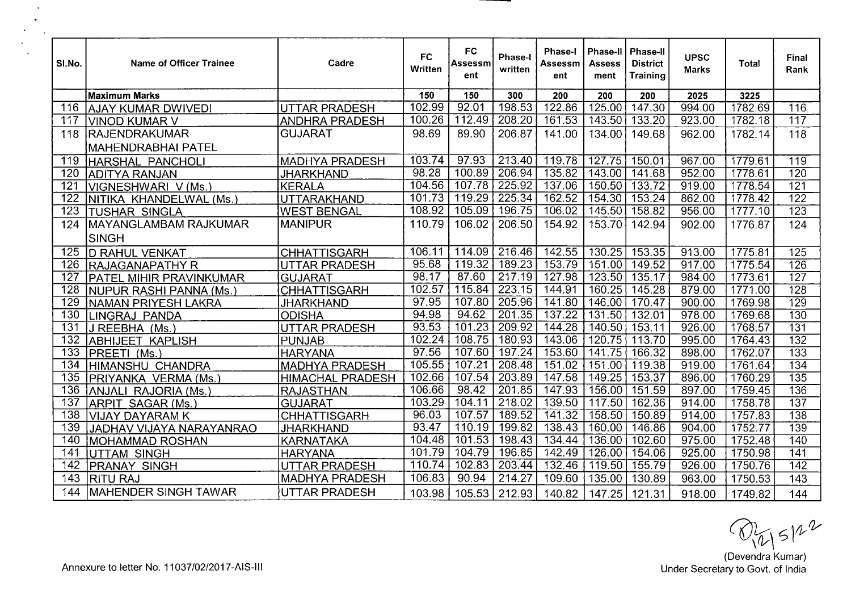| SI.No.           | <b>Name of Officer Trainee</b> | Cadre                   | <b>FC</b><br>Written | <b>FC</b><br>Assessm<br>ent | <b>Phase-I</b><br>written | <b>Phase-I</b><br>Assessm<br>ent | <b>Phase-II</b><br>Assess<br>ment | <b>Phase-II</b><br><b>District</b><br><b>Training</b> | <b>UPSC</b><br><b>Marks</b> | Total   | Final<br>Rank    |
|------------------|--------------------------------|-------------------------|----------------------|-----------------------------|---------------------------|----------------------------------|-----------------------------------|-------------------------------------------------------|-----------------------------|---------|------------------|
|                  | Maximum Marks                  |                         | 150                  | 150                         | 300                       | 200                              | 200                               | 200                                                   | 2025                        | 3225    |                  |
| 116              | <b>AJAY KUMAR DWIVEDI</b>      | <b>UTTAR PRADESH</b>    | 102.99               | 92.01                       | 198.53                    | 122.86                           | 125.00                            | 147.30                                                | 994.00                      | 1782.69 | 116              |
| 117              | <b>VINOD KUMAR V</b>           | <b>ANDHRA PRADESH</b>   | 100.26               | 112.49                      | 208.20                    | 161.53                           | 143.50                            | 133.20                                                | 923.00                      | 1782.18 | 117              |
| 118              | RAJENDRAKUMAR                  | <b>GUJARAT</b>          | 98.69                | 89.90                       | 206.87                    | 141.00                           | 134.00                            | 149.68                                                | 962.00                      | 1782.14 | 118              |
|                  | <b>MAHENDRABHAI PATEL</b>      |                         |                      |                             |                           |                                  |                                   |                                                       |                             |         |                  |
| 119              | HARSHAL PANCHOLI               | <b>MADHYA PRADESH</b>   | 103.74               | 97.93                       | 213.40                    | 119.78                           | 127.75                            | 150.01                                                | 967.00                      | 1779.61 | 119              |
| 120              | <b>ADITYA RANJAN</b>           | <b>JHARKHAND</b>        | 98.28                | 100.89                      | 206.94                    | 135.82                           | 143.00                            | 141.68                                                | 952.00                      | 1778.61 | 120              |
| $\overline{121}$ | VIGNESHWARI V (Ms.)            | <b>KERALA</b>           | 104.56               | 107.78                      | 225.92                    | 137.06                           | 150.50                            | 133.72                                                | 919.00                      | 1778.54 | $\overline{121}$ |
| 122              | NITIKA KHANDELWAL (Ms.)        | <b>UTTARAKHAND</b>      | 101.73               | 119.29                      | 225.34                    | 162.52                           | 154.30                            | 153.24                                                | 862.00                      | 1778.42 | 122              |
| 123              | <b>TUSHAR SINGLA</b>           | <b>WEST BENGAL</b>      | 108.92               | 105.09                      | 196.75                    | 106.02                           | 145.50                            | 158.82                                                | 956.00                      | 1777.10 | $\overline{123}$ |
| 124              | MAYANGLAMBAM RAJKUMAR          | <b>MANIPUR</b>          | 110.79               | 106.02                      | 206.50                    | 154.92                           | 153.70                            | 142.94                                                | 902.00                      | 1776.87 | 124              |
|                  | <b>SINGH</b>                   |                         |                      |                             |                           |                                  |                                   |                                                       |                             |         |                  |
| 125              | <b>D RAHUL VENKAT</b>          | <b>CHHATTISGARH</b>     | 106.11               |                             | 114.09   216.46           | 142.55                           | 130.25                            | 153.35                                                | 913.00                      | 1775.81 | $\overline{125}$ |
| 126              | <b>RAJAGANAPATHY R</b>         | <b>UTTAR PRADESH</b>    | 95.68                | 119.32                      | 189.23                    | 153.79                           | 151.00                            | 149.52                                                | 917.00                      | 1775.54 | 126              |
| $\overline{127}$ | <b>PATEL MIHIR PRAVINKUMAR</b> | <b>GUJARAT</b>          | 98.17                | 87.60                       | 217.19                    | 127.98                           | 123.50                            | 135.17                                                | 984.00                      | 1773.61 | $\overline{127}$ |
| 128              | NUPUR RASHI PANNA (Ms.)        | <b>CHHATTISGARH</b>     | 102.57               | 115.84                      | 223.15                    | 144.91                           | 160.25                            | 145.28                                                | 879.00                      | 1771.00 | $\overline{128}$ |
| 129              | İNAMAN PRIYESH LAKRA           | <b>JHARKHAND</b>        | 97.95                | 107.80                      | 205.96                    | 141.80                           | 146.00                            | 170.47                                                | 900.00                      | 1769.98 | 129              |
| 130              | LINGRAJ PANDA                  | <b>ODISHA</b>           | 94.98                | 94.62                       | 201.35                    | 137.22                           | 131.50                            | 132.01                                                | 978.00                      | 1769.68 | 130              |
| $\overline{131}$ | J REEBHA (Ms.)                 | <b>UTTAR PRADESH</b>    | 93.53                | 101.23                      | 209.92                    | 144.28                           | 140.50                            | 153.11                                                | 926.00                      | 1768.57 | 131              |
| 132              | ABHIJEET KAPLISH               | <b>PUNJAB</b>           | 102.24               | 108.75                      | 180.93                    | 143.06                           | 120.75                            | 113.70                                                | 995.00                      | 1764.43 | 132              |
| 133              | PREETI (Ms.)                   | <b>HARYANA</b>          | 97.56                | 107.60                      | 197.24                    | 153.60                           | 141.75                            | 166.32                                                | 898.00                      | 1762.07 | 133              |
| 134              | HIMANSHU CHANDRA               | <b>MADHYA PRADESH</b>   | 105.55               | 107.21                      | 208.48                    | 151.02                           | 151.00                            | 119.38                                                | 919.00                      | 1761.64 | 134              |
| 135              | PRIYANKA VERMA (Ms.            | <b>HIMACHAL PRADESH</b> | 102.66               | 107.54                      | 203.89                    | 147.58                           | 149.25                            | 153.37                                                | 896.00                      | 1760.29 | 135              |
| 136              | ANJALI RAJORIA (Ms.)           | <b>RAJASTHAN</b>        | 106.66               | 98.42                       | 201.85                    | 147.93                           | 156.00                            | 151.59                                                | 897.00                      | 1759.45 | 136              |
| 137              | ARPIT SAGAR (Ms.)              | <b>GUJARAT</b>          | 103.29               | 104.11                      | 218.02                    | 139.50                           | 117.50                            | 162.36                                                | 914.00                      | 1758.78 | 137              |
| 138              | <b>VIJAY DAYARAM K</b>         | <b>CHHATTISGARH</b>     | 96.03                | 107.57                      | 189.52                    | 141.32                           | 158.50                            | 150.89                                                | 914.00                      | 1757.83 | 138              |
| 139              | JADHAV VIJAYA NARAYANRAO       | <b>JHARKHAND</b>        | 93.47                | 110.19                      | 199.82                    | 138.43                           | 160.00                            | 146.86                                                | 904.00                      | 1752.77 | 139              |
| 140              | MOHAMMAD ROSHAN                | <b>KARNATAKA</b>        | 104.48               | 101.53                      | 198.43                    | 134.44                           | 136.00                            | 102.60                                                | 975.00                      | 1752.48 | 140              |
| 141              | IUTTAM SINGH                   | <b>HARYANA</b>          | 101.79               | 104.79                      | 196.85                    | 142.49                           | 126.00                            | 154.06                                                | 925.00                      | 1750.98 | 141              |
| 142              | <b>PRANAY SINGH</b>            | <b>UTTAR PRADESH</b>    | 110.74               | 102.83                      | 203.44                    | 132.46                           | 119.50                            | 155.79                                                | 926.00                      | 1750.76 | $\overline{142}$ |
| 143              | <b>RITU RAJ</b>                | <b>MADHYA PRADESH</b>   | 106.83               | 90.94                       | 214.27                    | 109.60                           | 135.00                            | 130.89                                                | 963.00                      | 1750.53 | 143              |
| 144              | MAHENDER SINGH TAWAR           | <b>UTTAR PRADESH</b>    | 103.98               | 105.53                      | 212.93                    | 140.82                           | 147.25                            | 121.31                                                | 918.00                      | 1749.82 | 144              |

 $Q_{\text{1}}$   $S12$ <br>(Devendra Kumar)<br>Under Secretary to Govt. of India

 $\sim$  $\sim$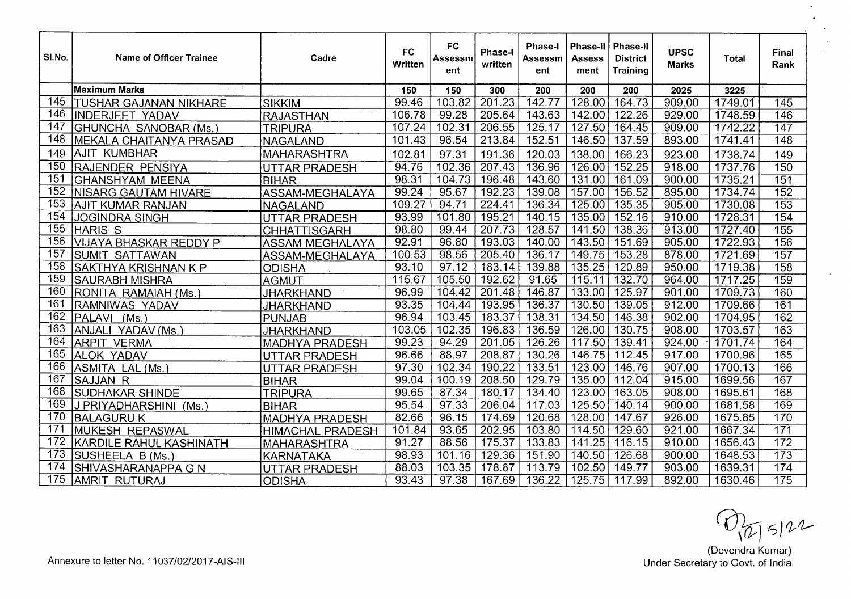| SI.No.           | Name of Officer Trainee        | Cadre                   | <b>FC</b><br>Written | <b>FC</b><br>Assessm<br>ent | Phase-I<br>written | <b>Phase-I</b><br>Assessm<br>ent | Phase-II<br>Assess<br>ment | Phase-II<br><b>District</b><br><b>Training</b> | <b>UPSC</b><br><b>Marks</b> | <b>Total</b> | Final<br>Rank    |
|------------------|--------------------------------|-------------------------|----------------------|-----------------------------|--------------------|----------------------------------|----------------------------|------------------------------------------------|-----------------------------|--------------|------------------|
|                  | <b>Maximum Marks</b>           |                         | 150                  | 150                         | 300                | 200                              | 200                        | 200                                            | 2025                        | 3225         |                  |
| 145              | TUSHAR GAJANAN NIKHARE         | <b>SIKKIM</b>           | 99.46                | 103.82                      | 201.23             | 142.77                           | 128.00                     | 164.73                                         | 909.00                      | 1749.01      | 145              |
| 146              | <b>INDERJEET YADAV</b>         | <b>RAJASTHAN</b>        | 106.78               | 99.28                       | 205.64             | 143.63                           | 142.00                     | 122.26                                         | 929.00                      | 1748.59      | 146              |
| 147              | <b>GHUNCHA SANOBAR (Ms.)</b>   | <b>TRIPURA</b>          | 107.24               | 102.31                      | 206.55             | 125.17                           | 127.50                     | 164.45                                         | 909.00                      | 1742.22      | $\overline{147}$ |
| 148              | <b>MEKALA CHAITANYA PRASAD</b> | <b>NAGALAND</b>         | 101.43               | 96.54                       | 213.84             | 152.51                           | 146.50                     | 137.59                                         | 893.00                      | 1741.41      | $\overline{148}$ |
| 149              | <b>AJIT KUMBHAR</b>            | MAHARASHTRA             | 102.81               | 97.31                       | 191.36             | 120.03                           | 138.00                     | 166.23                                         | 923.00                      | 1738.74      | 149              |
| 150              | RAJENDER PENSIYA               | <b>UTTAR PRADESH</b>    | 94.76                | 102.36                      | 207.43             | 136.96                           | 126.00                     | 152.25                                         | 918.00                      | 1737.76      | 150              |
| 151              | <b>GHANSHYAM MEENA</b>         | <b>BIHAR</b>            | 98.31                | 104.73                      | 196.48             | 143.60                           | 131.00                     | 161.09                                         | 900.00                      | 1735.21      | 151              |
| 152              | <b>NISARG GAUTAM HIVARE</b>    | ASSAM-MEGHALAYA         | 99.24                | 95.67                       | 192.23             | 139.08                           | 157.00                     | 156.52                                         | 895.00                      | 1734.74      | 152              |
| 153              | AJIT KUMAR RANJAN              | NAGALAND                | 109.27               | 94.71                       | 224.41             | 136.34                           | 125.00                     | $\overline{135.35}$                            | 905.00                      | 1730.08      | 153              |
| 154              | <b>JOGINDRA SINGH</b>          | <b>UTTAR PRADESH</b>    | 93.99                | 101.80                      | 195.21             | 140.15                           | 135.00                     | 152.16                                         | 910.00                      | 1728.31      | 154              |
| 155              | <b>HARIS S</b>                 | <b>CHHATTISGARH</b>     | 98.80                | 99.44                       | 207.73             | 128.57                           | 141.50                     | 138.36                                         | 913.00                      | 1727.40      | 155              |
| 156              | <b>VIJAYA BHASKAR REDDY P</b>  | ASSAM-MEGHALAYA         | 92.91                | 96.80                       | 193.03             | 140.00                           | 143.50                     | 151.69                                         | 905.00                      | 1722.93      | 156              |
| 157              | SUMIT SATTAWAN                 | ASSAM-MEGHALAYA         | 100.53               | 98.56                       | 205.40             | 136.17                           | 149.75                     | 153.28                                         | 878.00                      | 1721.69      | 157              |
| $\overline{158}$ | SAKTHYA KRISHNAN K P           | <b>ODISHA</b>           | 93.10                | 97.12                       | 183.14             | 139.88                           | 135.25                     | 120.89                                         | 950.00                      | 1719.38      | 158              |
| 159              | <b>SAURABH MISHRA</b>          | <b>AGMUT</b>            | 115.67               | 105.50                      | 192.62             | 91.65                            | 115.11                     | 132.70                                         | 964.00                      | 1717.25      | 159              |
| 160              | RONITA RAMAIAH (Ms.)           | <b>JHARKHAND</b>        | 96.99                | 104.42                      | 201.48             | 146.87                           | 133.00                     | 125.97                                         | 901.00                      | 1709.73      | 160              |
| 161              | RAMNIWAS YADAV                 | <b>JHARKHAND</b>        | 93.35                | 104.44                      | 193.95             | 136.37                           | 130.50                     | 139.05                                         | 912.00                      | 1709.66      | 161              |
| 162              | PALAVI (Ms.)                   | PUNJAB                  | 96.94                | 103.45                      | 183.37             | 138.31                           | 134.50                     | 146.38                                         | 902.00                      | 1704.95      | 162              |
| 163              | ANJALI YADAV (Ms.)             | JHARKHAND               | 103.05               | 102.35                      | 196.83             | 136.59                           | 126.00                     | 130.75                                         | 908.00                      | 1703.57      | $\overline{163}$ |
| 164              | <b>ARPIT VERMA</b>             | <b>MADHYA PRADESH</b>   | 99.23                | 94.29                       | 201.05             | 126.26                           | 117.50                     | 139.41                                         | 924.00                      | 1701.74      | 164              |
| 165              | <b>ALOK YADAV</b>              | <b>UTTAR PRADESH</b>    | 96.66                | 88.97                       | 208.87             | 130.26                           | 146.75                     | 112.45                                         | 917.00                      | 1700.96      | 165              |
| 166              | ASMITA LAL (Ms.)               | <b>UTTAR PRADESH</b>    | 97.30                | 102.34                      | 190.22             | 133.51                           | 123.00                     | 146.76                                         | 907.00                      | 1700.13      | 166              |
| 167              | <b>SAJJAN R</b>                | <b>BIHAR</b>            | 99.04                | 100.19                      | 208.50             | 129.79                           | 135.00                     | 112.04                                         | 915.00                      | 1699.56      | 167              |
| 168              | <b>SUDHAKAR SHINDE</b>         | <b>TRIPURA</b>          | 99.65                | 87.34                       | 180.17             | 134.40                           | 123.00                     | 163.05                                         | 908.00                      | 1695.61      | 168              |
| 169              | J PRIYADHARSHINI (Ms.          | <b>BIHAR</b>            | 95.54                | 97.33                       | 206.04             | 117.03                           | 125.50                     | 140.14                                         | 900.00                      | 1681.58      | 169              |
| 170              | <b>BALAGURU K</b>              | <b>MADHYA PRADESH</b>   | 82.66                | 96.15                       | 174.69             | 120.68                           | 128.00                     | 147.67                                         | 926.00                      | 1675.85      | 170              |
| 17 <sup>′</sup>  | MUKESH REPASWAL                | <b>HIMACHAL PRADESH</b> | 101.84               | 93.65                       | 202.95             | 103.80                           | 114.50                     | 129.60                                         | 921.00                      | 1667.34      | $\overline{171}$ |
| 172              | <b>KARDILE RAHUL KASHINATH</b> | <b>MAHARASHTRA</b>      | 91.27                | 88.56                       | 175.37             | 133.83                           | 141.25                     | 116.15                                         | 910.00                      | 1656.43      | 172              |
| 173              | SUSHEELA B (Ms.                | KARNATAKA               | 98.93                | 101.16                      | 129.36             | 151.90                           | 140.50                     | 126.68                                         | 900.00                      | 1648.53      | 173              |
| 174              | SHIVASHARANAPPA G N            | <b>UTTAR PRADESH</b>    | 88.03                | 103.35                      | 178.87             | 113.79                           | 102.50                     | 149.77                                         | 903.00                      | 1639.31      | 174              |
| 175              | AMRIT RUTURAJ                  | <b>ODISHA</b>           | 93.43                | 97.38                       | 167.69             | 136.22                           | 125.75                     | 117.99                                         | 892.00                      | 1630.46      | 175              |

 $\bigcirc$   $\bigcirc$   $\bigcirc$  5) 22<br>
(Devendra Kumar)<br>
Under Secretary to Govt. of India

 $\overline{a}$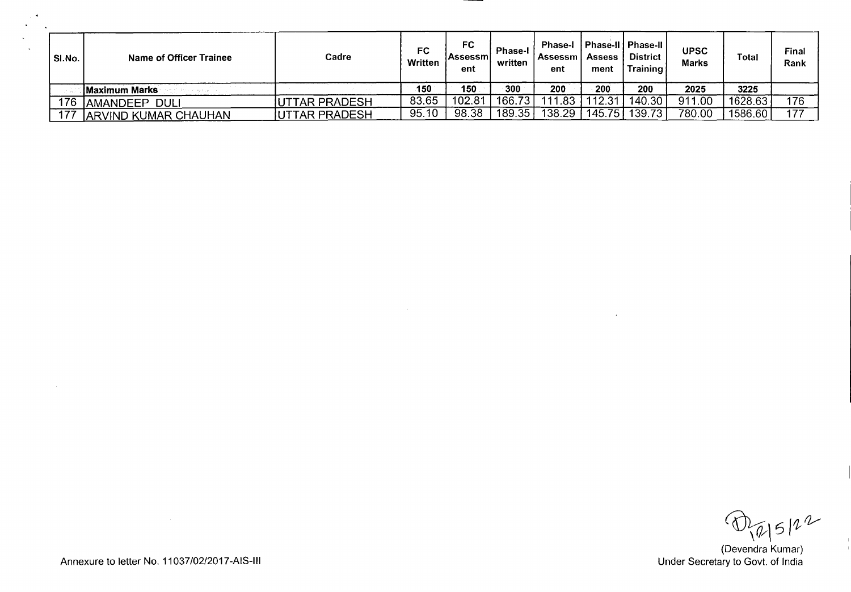| SI.No. | Name of Officer Trainee     | Cadre                 | FC<br>Written | FC<br><b>IAssessmi</b><br>ent | <b>Phase-I</b><br>written | <b>Phase-I</b><br>Assessm<br>ent | <b>Assess</b><br>ment | 「Phase-II亅Phase-II亅<br><b>District</b><br>Training | <b>UPSC</b><br><b>Marks</b> | Total   | Final<br>Rank |
|--------|-----------------------------|-----------------------|---------------|-------------------------------|---------------------------|----------------------------------|-----------------------|----------------------------------------------------|-----------------------------|---------|---------------|
|        | Maximum Marks               |                       | 150           | 150                           | 300                       | 200                              | 200                   | 200                                                | 2025                        | 3225    |               |
| 176    | AMANDEEP_<br><b>DULI</b>    | <b>IUTTAR PRADESH</b> | 83.65         | 102.81                        | 166.73                    | .83<br>111                       | 12.31                 | 140.30                                             | 911.00                      | 1628.63 | 176           |
| 177    | <b>ARVIND KUMAR CHAUHAN</b> | <b>JUTTAR PRADESH</b> | 95.10         | 98.38                         | 189.35                    | 138.29                           | 145.75                | 139.73                                             | 780.00                      | 1586.60 | 177           |

 $\bigoplus_{\begin{subarray}{c} \sqrt{\ell} \\ \sqrt{\ell} \end{subarray}} 5 \mid \ell \sim$ <br>(Devendra Kumar)<br>Under Secretary to Govt. of India

Annexure to letter No. 11037/02/2017-AIS-III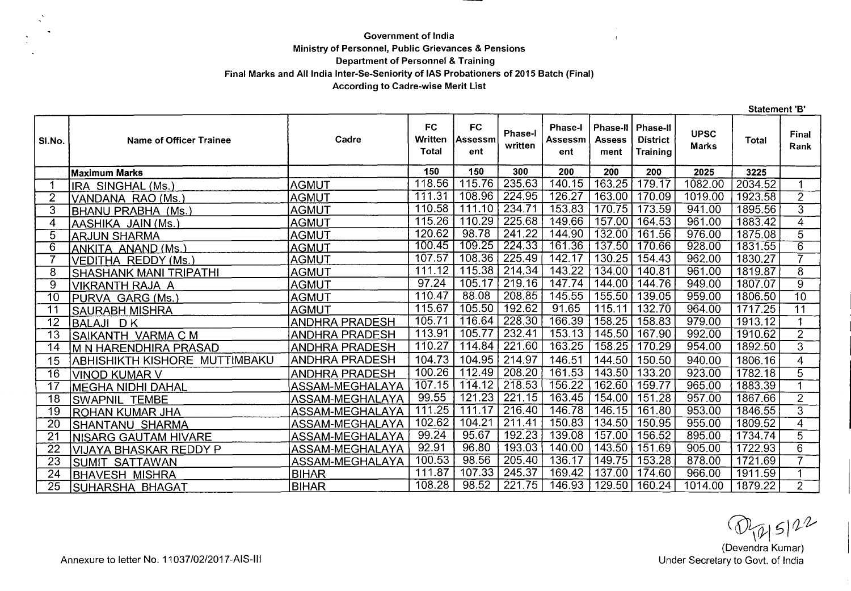## **Government of India Ministry of Personnel, Public Grievances & Pensions Department of Personnel** & **Training Final Marks and All India Inter-Se-Seniority of lAS Probationers of 2015 Batch (Final) According to Cadre-wise Merit List**

|                 |                                |                        |                                             |                                    |                     |                                  |                                          |                                         |                             | <b>Statement 'B'</b> |                         |
|-----------------|--------------------------------|------------------------|---------------------------------------------|------------------------------------|---------------------|----------------------------------|------------------------------------------|-----------------------------------------|-----------------------------|----------------------|-------------------------|
| SI.No.          | <b>Name of Officer Trainee</b> | Cadre                  | <b>FC</b><br><b>Written</b><br><b>Total</b> | <b>FC</b><br><b>Assessm</b><br>ent | Phase-I<br>written  | <b>Phase-I</b><br>Assessm<br>ent | <b>Phase-II</b><br><b>Assess</b><br>ment | Phase-II<br><b>District</b><br>Training | <b>UPSC</b><br><b>Marks</b> | <b>Total</b>         | Final<br>Rank           |
|                 | <b>Maximum Marks</b>           |                        | 150                                         | 150                                | 300                 | 200                              | 200                                      | 200                                     | 2025                        | 3225                 |                         |
|                 | IRA SINGHAL (Ms.)              | <b>AGMUT</b>           | 118.56                                      | 115.76                             | 235.63              | 140.15                           | 163.25                                   | 179.17                                  | 1082.00                     | 2034.52              | $\mathbf 1$             |
| 2               | VANDANA RAO (Ms.)              | <b>AGMUT</b>           | 111.31                                      | 108.96                             | 224.95              | 126.27                           | 163.00                                   | 170.09                                  | 1019.00                     | 1923.58              | $\overline{2}$          |
| 3               | BHANU PRABHA (Ms.)             | <b>AGMUT</b>           | 110.58                                      | 111.10                             | 234.71              | 153.83                           | 170.75                                   | 173.59                                  | 941.00                      | 1895.56              | $\overline{3}$          |
| 4               | AASHIKA JAIN (Ms.)             | AGMUT                  | 115.26                                      | 110.29                             | 225.68              | 149.66                           | 157.00                                   | 164.53                                  | 961.00                      | 1883.42              | $\overline{4}$          |
| 5               | <b>ARJUN SHARMA</b>            | AGMUT                  | 120.62                                      | 98.78                              | 241.22              | 144.90                           | 132.00                                   | 161.56                                  | 976.00                      | 1875.08              | $\overline{5}$          |
| $\overline{6}$  | ANKITA ANAND (Ms.)             | <b>AGMUT</b>           | 100.45                                      | 109.25                             | 224.33              | 161.36                           | 137.50                                   | 170.66                                  | 928.00                      | 1831.55              | $\overline{6}$          |
|                 | <b>VEDITHA REDDY (Ms.)</b>     | <b>AGMUT</b>           | 107.57                                      | 108.36                             | 225.49              | 142.17                           | 130.25                                   | 154.43                                  | 962.00                      | 1830.27              | $\overline{7}$          |
| 8               | SHASHANK MANI TRIPATHI         | <b>AGMUT</b>           | 111.12                                      | 115.38                             | 214.34              | 143.22                           | 134.00                                   | 140.81                                  | 961.00                      | 1819.87              | $\overline{8}$          |
| 9               | <b>VIKRANTH RAJA A</b>         | <b>AGMUT</b>           | 97.24                                       | 105.17                             | 219.16              | 147.74                           | 144.00                                   | 144.76                                  | 949.00                      | 1807.07              | $\overline{9}$          |
| 10              | PURVA GARG (Ms.)               | <b>AGMUT</b>           | 110.47                                      | 88.08                              | 208.85              | 145.55                           | 155.50                                   | 139.05                                  | 959.00                      | 1806.50              | $\overline{10}$         |
| 11              | <b>SAURABH MISHRA</b>          | <b>AGMUT</b>           | 115.67                                      | 105.50                             | 192.62              | 91.65                            | 115.11                                   | 132.70                                  | 964.00                      | 1717.25              | $\overline{11}$         |
| 12              | <b>BALAJI DK</b>               | <b>ANDHRA PRADESH</b>  | 105.71                                      | 116.64                             | 228.30              | 166.39                           | 158.25                                   | 158.83                                  | 979.00                      | 1913.12              | $\overline{\mathbf{1}}$ |
| $\overline{13}$ | SAIKANTH VARMA C M             | <b>ANDHRA PRADESH</b>  | 113.91                                      | 105.77                             | 232.41              | 153.13                           | 145.50                                   | 167.90                                  | 992.00                      | 1910.62              | $\overline{2}$          |
| 14              | M N HARENDHIRA PRASAD          | <b>ANDHRA PRADESH</b>  | 110.27                                      | 114.84                             | 221.60              | 163.25                           | 158.25                                   | 170.29                                  | 954.00                      | 1892.50              | $\overline{3}$          |
| 15              | ABHISHIKTH KISHORE MUTTIMBAKU  | <b>ANDHRA PRADESH</b>  | 104.73                                      | 104.95                             | 214.97              | 146.51                           | 144.50                                   | 150.50                                  | 940.00                      | 1806.16              | 4                       |
| 16              | VINOD KUMAR V                  | <b>ANDHRA PRADESH</b>  | 100.26                                      | 112.49                             | 208.20              | 161.53                           | 143.50                                   | 133.20                                  | 923.00                      | 1782.18              | $\overline{5}$          |
| 17              | <b>MEGHA NIDHI DAHAL</b>       | ASSAM-MEGHALAYA        | 107.15                                      | 114.12                             | 218.53              | 156.22                           | 162.60                                   | 159.77                                  | 965.00                      | 1883.39              | $\blacktriangleleft$    |
| 18              | <b>SWAPNIL TEMBE</b>           | <b>ASSAM-MEGHALAYA</b> | 99.55                                       | 121.23                             | 221.15              | 163.45                           | 154.00                                   | 151.28                                  | 957.00                      | 1867.66              | $\overline{2}$          |
| 19              | <b>ROHAN KUMAR JHA</b>         | ASSAM-MEGHALAYA        | 111.25                                      | 111.17                             | $\overline{216.40}$ | 146.78                           | 146.15                                   | 161.80                                  | 953.00                      | 1846.55              | $\overline{3}$          |
| $\overline{20}$ | <b>SHANTANU SHARMA</b>         | ASSAM-MEGHALAYA        | 102.62                                      | 104.21                             | 211.41              | 150.83                           | 134.50                                   | 150.95                                  | 955.00                      | 1809.52              | $\overline{4}$          |
| $\overline{21}$ | <b>NISARG GAUTAM HIVARE</b>    | ASSAM-MEGHALAYA        | 99.24                                       | 95.67                              | 192.23              | 139.08                           | 157.00                                   | 156.52                                  | 895.00                      | 1734.74              | $\overline{5}$          |
| 22              | <b>VIJAYA BHASKAR REDDY P</b>  | <b>ASSAM-MEGHALAYA</b> | 92.91                                       | 96.80                              | 193.03              | 140.00                           | 143.50                                   | 151.69                                  | 905.00                      | 1722.93              | $\overline{6}$          |
| 23              | SUMIT SATTAWAN                 | ASSAM-MEGHALAYA        | 100.53                                      | 98.56                              | 205.40              | 136.17                           | 149.75                                   | 153.28                                  | 878.00                      | 1721.69              | 7                       |
| 24              | <b>BHAVESH MISHRA</b>          | <b>BIHAR</b>           | 111.87                                      | 107.33                             | $\overline{245.37}$ | 169.42                           | 137.00                                   | 174.60                                  | 966.00                      | 1911.59              | $\blacktriangleleft$    |
| $\overline{25}$ | SUHARSHA BHAGAT                | <b>BIHAR</b>           | 108.28                                      | 98.52                              | 221.75              | 146.93                           | 129.50                                   | 160.24                                  | 1014.00                     | 1879.22              | $\overline{2}$          |

(Devendra Kumar)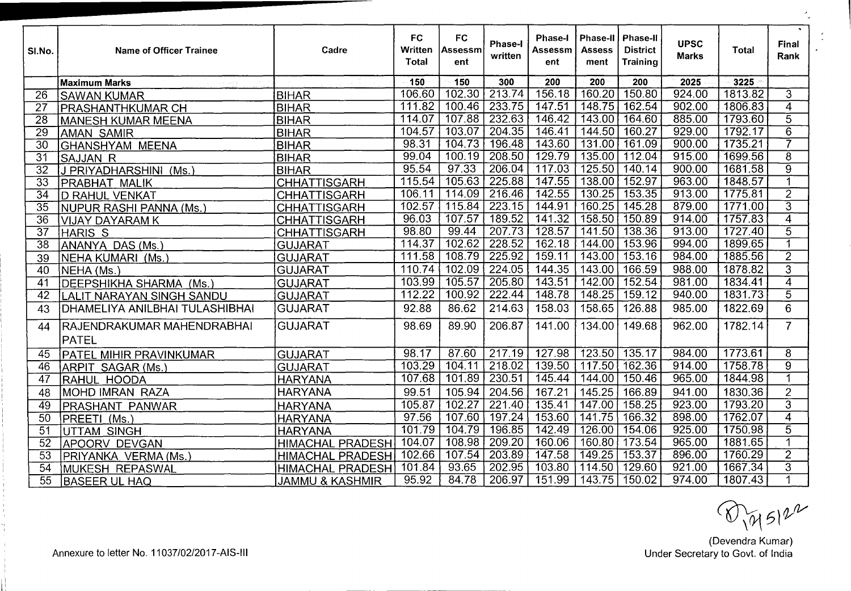| SI.No.          | <b>Name of Officer Trainee</b>      | Cadre                      | <b>FC</b><br>Written<br>Total | <b>FC</b><br>Assessm<br>ent | Phase-I<br>written  | <b>Phase-I</b><br>Assessm<br>ent | Phase-II<br><b>Assess</b><br>ment | Phase-II<br><b>District</b><br><b>Training</b> | <b>UPSC</b><br><b>Marks</b> | Total   | $\sim$<br>Final<br>Rank |
|-----------------|-------------------------------------|----------------------------|-------------------------------|-----------------------------|---------------------|----------------------------------|-----------------------------------|------------------------------------------------|-----------------------------|---------|-------------------------|
|                 | <b>Maximum Marks</b>                |                            | 150                           | 150                         | 300                 | 200                              | 200                               | 200                                            | 2025                        | 3225    |                         |
| $\overline{26}$ | <b>SAWAN KUMAR</b>                  | <b>BIHAR</b>               | 106.60                        | 102.30                      | 213.74              | 156.18                           | 160.20                            | 150.80                                         | 924.00                      | 1813.82 | $\overline{3}$          |
| 27              | <b>PRASHANTHKUMAR CH</b>            | <b>BIHAR</b>               | 111.82                        | 100.46                      | 233.75              | 147.51                           | 148.75                            | 162.54                                         | 902.00                      | 1806.83 | $\overline{\bf{4}}$     |
| 28              | <b>MANESH KUMAR MEENA</b>           | <b>BIHAR</b>               | 114.07                        | 107.88                      | 232.63              | 146.42                           | 143.00                            | 164.60                                         | 885.00                      | 1793.60 | $\overline{5}$          |
| $\overline{29}$ | AMAN SAMIR                          | <b>BIHAR</b>               | 104.57                        | 103.07                      | 204.35              | 146.41                           | 144.50                            | 160.27                                         | 929.00                      | 1792.17 | $\overline{6}$          |
| $\overline{30}$ | <b>GHANSHYAM MEENA</b>              | <b>BIHAR</b>               | 98.31                         | 104.73                      | 196.48              | 143.60                           | 131.00                            | 161.09                                         | 900.00                      | 1735.21 | 7                       |
| $\overline{31}$ | <b>SAJJAN R</b>                     | <b>BIHAR</b>               | 99.04                         | 100.19                      | 208.50              | 129.79                           | 135.00                            | 112.04                                         | 915.00                      | 1699.56 | $\overline{8}$          |
| $\overline{32}$ | J PRIYADHARSHINI (Ms.)              | <b>BIHAR</b>               | 95.54                         | 97.33                       | 206.04              | 117.03                           | 125.50                            | 140.14                                         | 900.00                      | 1681.58 | बु                      |
| $\overline{33}$ | <b>PRABHAT MALIK</b>                | <b>CHHATTISGARH</b>        | 115.54                        | 105.63                      | 225.88              | 147.55                           | 138.00                            | 152.97                                         | 963.00                      | 1848.57 | $\overline{\mathbf{1}}$ |
| $\overline{34}$ | D RAHUL VENKAT                      | <b>CHHATTISGARH</b>        | 106.11                        | 114.09                      | 216.46              | 142.55                           | 130.25                            | 153.35                                         | 913.00                      | 1775.81 | $\overline{2}$          |
| $\overline{35}$ | NUPUR RASHI PANNA (Ms.)             | <b>CHHATTISGARH</b>        | 102.57                        | 115.84                      | 223.15              | 144.91                           | 160.25                            | 145.28                                         | 879.00                      | 1771.00 | $\overline{3}$          |
| $\overline{36}$ | VIJAY DAYARAM K                     | <b>CHHATTISGARH</b>        | 96.03                         | 107.57                      | 189.52              | 141.32                           | 158.50                            | 150.89                                         | 914.00                      | 1757.83 | $\overline{4}$          |
| $\overline{37}$ | HARIS <sub>S</sub>                  | <b>CHHATTISGARH</b>        | 98.80                         | 99.44                       | 207.73              | 128.57                           | 141.50                            | 138.36                                         | 913.00                      | 1727.40 | $\overline{5}$          |
| $\overline{38}$ | ANANYA DAS (Ms.)                    | <b>GUJARAT</b>             | 114.37                        | 102.62                      | 228.52              | 162.18                           | 144.00                            | 153.96                                         | 994.00                      | 1899.65 | $\overline{\mathbf{1}}$ |
| 39              | NEHA KUMARI (Ms.)                   | <b>GUJARAT</b>             | 111.58                        | 108.79                      | 225.92              | 159.11                           | 143.00                            | 153.16                                         | 984.00                      | 1885.56 | $\overline{2}$          |
| 40              | NEHA (Ms.)                          | <b>GUJARAT</b>             | 110.74                        | 102.09                      | 224.05              | 144.35                           | 143.00                            | 166.59                                         | 988.00                      | 1878.82 | $\overline{3}$          |
| $\overline{41}$ | DEEPSHIKHA SHARMA (Ms.)             | <b>GUJARAT</b>             | 103.99                        | 105.57                      | 205.80              | 143.51                           | 142.00                            | 152.54                                         | 981.00                      | 1834.41 | $\overline{4}$          |
| $\overline{42}$ | LALIT NARAYAN SINGH SANDU           | <b>GUJARAT</b>             | 112.22                        | 100.92                      | 222.44              | 148.78                           | 148.25                            | 159.12                                         | 940.00                      | 1831.73 | $\overline{5}$          |
| 43              | DHAMELIYA ANILBHAI TULASHIBHAI      | <b>GUJARAT</b>             | 92.88                         | 86.62                       | 214.63              | 158.03                           | 158.65                            | 126.88                                         | 985.00                      | 1822.69 | 6                       |
| 44              | RAJENDRAKUMAR MAHENDRABHAI<br>PATEL | <b>GUJARAT</b>             | 98.69                         | 89.90                       | 206.87              | 141.00                           | 134.00                            | 149.68                                         | 962.00                      | 1782.14 | $\overline{7}$          |
| 45              | <b>PATEL MIHIR PRAVINKUMAR</b>      | <b>GUJARAT</b>             | 98.17                         | 87.60                       | 217.19              | 127.98                           | 123.50                            | 135.17                                         | 984.00                      | 1773.61 | 8                       |
| $\overline{46}$ | ARPIT SAGAR (Ms.)                   | <b>GUJARAT</b>             | 103.29                        | 104.11                      | 218.02              | 139.50                           | 117.50                            | 162.36                                         | 914.00                      | 1758.78 | $\overline{9}$          |
| 47              | RAHUL HOODA                         | <b>HARYANA</b>             | 107.68                        | 101.89                      | 230.51              | 145.44                           | 144.00                            | 150.46                                         | 965.00                      | 1844.98 |                         |
| 48              | <b>MOHD IMRAN RAZA</b>              | <b>HARYANA</b>             | 99.51                         | 105.94                      | 204.56              | 167.21                           | 145.25                            | 166.89                                         | 941.00                      | 1830.36 | $\overline{2}$          |
| $\overline{49}$ | <b>PRASHANT PANWAR</b>              | <b>HARYANA</b>             | 105.87                        | 102.27                      | $\overline{221.40}$ | 135.41                           | 147.00                            | 158.25                                         | 923.00                      | 1793.20 | $\overline{3}$          |
| 50              | PREETI (Ms.)                        | <b>HARYANA</b>             | 97.56                         | 107.60                      | $\overline{197.24}$ | 153.60                           | 141.75                            | 166.32                                         | 898.00                      | 1762.07 | $\overline{4}$          |
| $\overline{51}$ | UTTAM SINGH                         | <b>HARYANA</b>             | 101.79                        | 104.79                      | 196.85              | 142.49                           | 126.00                            | 154.06                                         | 925.00                      | 1750.98 | $\overline{5}$          |
| $\overline{52}$ | APOORV DEVGAN                       | <b>HIMACHAL PRADESH</b>    | 104.07                        | 108.98                      | $\overline{209.20}$ | 160.06                           | 160.80                            | $\overline{173.54}$                            | 965.00                      | 1881.65 | 1                       |
| $\overline{53}$ | PRIYANKA VERMA (Ms.)                | <b>HIMACHAL PRADESH</b>    | 102.66                        | 107.54                      | 203.89              | 147.58                           | 149.25                            | 153.37                                         | 896.00                      | 1760.29 | $\overline{2}$          |
| 54              | <b>MUKESH REPASWAL</b>              | HIMACHAL PRADESH           | 101.84                        | 93.65                       | 202.95              | 103.80                           | 114.50                            | 129.60                                         | 921.00                      | 1667.34 | $\overline{3}$          |
| 55              | <b>BASEER UL HAQ</b>                | <b>JAMMU &amp; KASHMIR</b> | 95.92                         | 84.78                       | 206.97              | 151.99                           | 143.75                            | 150.02                                         | 974.00                      | 1807.43 | 1                       |

 $\bigotimes_{(\text{Devendra Kumar})} \mathcal{U}$ <br>(Devendra Kumar)<br>Under Secretary to Govt. of India

Annexure to letter No. 11037/02/2017-AIS-III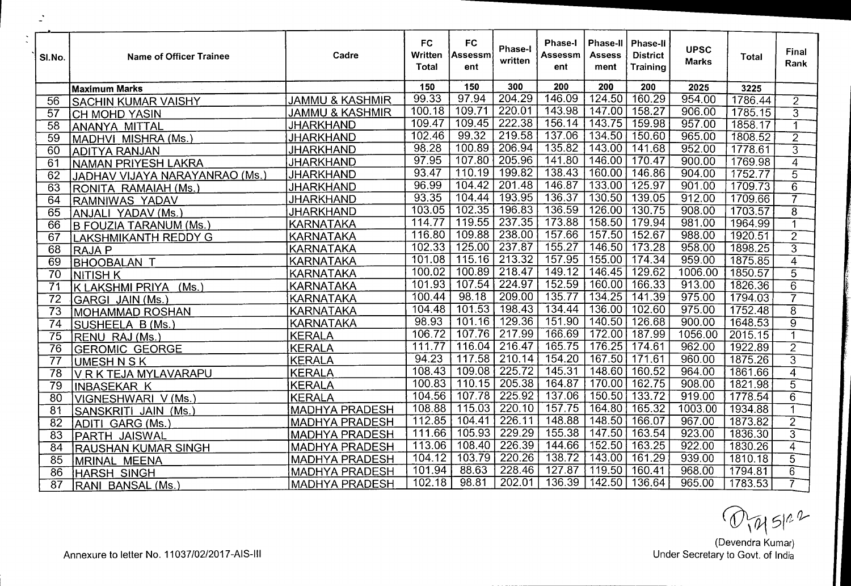| SI.No.          | Name of Officer Trainee        | Cadre                      | FC<br>Written<br><b>Total</b> | <b>FC</b><br>Assessm<br>ent | Phase-I<br>written  | <b>Phase-I</b><br>Assessm<br>ent | <b>Phase-II</b><br><b>Assess</b><br>ment | Phase-II<br><b>District</b><br>Training | <b>UPSC</b><br><b>Marks</b> | Total   | Final<br>Rank  |
|-----------------|--------------------------------|----------------------------|-------------------------------|-----------------------------|---------------------|----------------------------------|------------------------------------------|-----------------------------------------|-----------------------------|---------|----------------|
|                 | Maximum Marks                  |                            | 150                           | 150                         | 300                 | 200                              | 200                                      | 200                                     | 2025                        | 3225    |                |
| 56              | <b>SACHIN KUMAR VAISHY</b>     | <b>JAMMU &amp; KASHMIR</b> | 99.33                         | 97.94                       | 204.29              | 146.09                           | 124.50                                   | 160.29                                  | 954.00                      | 1786.44 | $\overline{2}$ |
| 57              | <b>CH MOHD YASIN</b>           | <b>JAMMU &amp; KASHMIR</b> | 100.18                        | 109.71                      | 220.01              | 143.98                           | 147.00                                   | 158.27                                  | 906.00                      | 1785.15 | $\overline{3}$ |
| 58              | ANANYA MITTAL                  | <b>JHARKHAND</b>           | 109.47                        | 109.45                      | 222.38              | 156.14                           | 143.75                                   | 159.98                                  | 957.00                      | 1858.17 |                |
| $\overline{59}$ | MADHVI MISHRA (Ms.)            | <b>JHARKHAND</b>           | 102.46                        | 99.32                       | 219.58              | 137.06                           | 134.50                                   | 150.60                                  | 965.00                      | 1808.52 | $\overline{2}$ |
| 60              | ADITYA RANJAN                  | <b>JHARKHAND</b>           | 98.28                         | 100.89                      | 206.94              | 135.82                           | 143.00                                   | 141.68                                  | 952.00                      | 1778.61 | $\overline{3}$ |
| 61              | NAMAN PRIYESH LAKRA            | <b>JHARKHAND</b>           | 97.95                         | 107.80                      | 205.96              | 141.80                           | 146.00                                   | 170.47                                  | 900.00                      | 1769.98 | $\overline{4}$ |
| 62              | JADHAV VIJAYA NARAYANRAO (Ms.) | <b>JHARKHAND</b>           | 93.47                         | 110.19                      | 199.82              | 138.43                           | 160.00                                   | 146.86                                  | 904.00                      | 1752.77 | $\overline{5}$ |
| 63              | RONITA RAMAIAH (Ms.)           | <b>JHARKHAND</b>           | 96.99                         | 104.42                      | 201.48              | 146.87                           | 133.00                                   | 125.97                                  | 901.00                      | 1709.73 | $\overline{6}$ |
| 64              | RAMNIWAS YADAV                 | <b>JHARKHAND</b>           | 93.35                         | 104.44                      | 193.95              | 136.37                           | 130.50                                   | 139.05                                  | 912.00                      | 1709.66 | 7              |
| $\overline{65}$ | ANJALI YADAV (Ms.)             | <b>JHARKHAND</b>           | 103.05                        | 102.35                      | 196.83              | 136.59                           | 126.00                                   | 130.75                                  | 908.00                      | 1703.57 | $\overline{8}$ |
| 66              | B FOUZIA TARA <u>NUM (Ms.)</u> | <b>KARNATAKA</b>           | 114.77                        | 119.55                      | 237.35              | 173.88                           | 158.50                                   | 179.94                                  | 981.00                      | 1964.99 | $\overline{1}$ |
| 67              | <b>LAKSHMIKANTH REDDY G</b>    | <b>KARNATAKA</b>           | 116.80                        | 109.88                      | 238.00              | 157.66                           | 157.50                                   | 152.67                                  | 988.00                      | 1920.51 | $\overline{2}$ |
| 68              | <b>RAJAP</b>                   | KARNATAKA                  | 102.33                        | 125.00                      | 237.87              | 155.27                           | 146.50                                   | 173.28                                  | 958.00                      | 1898.25 | $\overline{3}$ |
| $\overline{6}9$ | <b>BHOOBALAN T</b>             | <b>KARNATAKA</b>           | 101.08                        | 115.16                      | 213.32              | 157.95                           | 155.00                                   | 174.34                                  | 959.00                      | 1875.85 | $\overline{4}$ |
| $\overline{70}$ | INITISH K                      | <b>KARNATAKA</b>           | 100.02                        | 100.89                      | 218.47              | 149.12                           | 146.45                                   | 129.62                                  | 1006.00                     | 1850.57 | $\overline{5}$ |
| $\overline{71}$ | K LAKSHMI PRIYA<br>(Ms.)       | IKARNATAKA                 | 101.93                        | 107.54                      | 224.97              | 152.59                           | 160.00                                   | 166.33                                  | 913.00                      | 1826.36 | $\overline{6}$ |
| $\overline{72}$ | GARGI JAIN (Ms.)               | KARNATAKA                  | 100.44                        | 98.18                       | 209.00              | 135.77                           | 134.25                                   | 141.39                                  | 975.00                      | 1794.03 | $\overline{7}$ |
| $\overline{73}$ | MOHAMMAD ROSHAN                | IKARNATAKA                 | 104.48                        | 101.53                      | 198.43              | 134.44                           | 136.00                                   | 102.60                                  | 975.00                      | 1752.48 | $\overline{8}$ |
| 74              | SUSHEELA B (Ms.)               | KARNATAKA                  | 98.93                         | 101.16                      | 129.36              | 151.90                           | 140.50                                   | 126.68                                  | 900.00                      | 1648.53 | $\overline{9}$ |
| $\overline{75}$ | RENU RAJ (Ms.)                 | <b>KERALA</b>              | 106.72                        | 107.76                      | 217.99              | 166.69                           | 172.00                                   | 187.99                                  | 1056.00                     | 2015.15 | 1              |
| 76              | <b>GEROMIC GEORGE</b>          | KERALA                     | 111.77                        | 116.04                      | 216.47              | 165.75                           | 176.25                                   | 174.61                                  | 962.00                      | 1922.89 | $\overline{2}$ |
| $\overline{77}$ | UMESH N S K                    | <b>KERALA</b>              | 94.23                         | 117.58                      | $\overline{210.14}$ | 154.20                           | 167.50                                   | 171.61                                  | 960.00                      | 1875.26 | $\overline{3}$ |
| $\overline{78}$ | V R K TEJA MYLAVARAPU          | <b>KERALA</b>              | 108.43                        | 109.08                      | 225.72              | 145.31                           | 148.60                                   | 160.52                                  | 964.00                      | 1861.66 | $\overline{4}$ |
| $\overline{79}$ | <b>INBASEKAR K</b>             | <b>KERALA</b>              | 100.83                        | 110.15                      | 205.38              | 164.87                           | 170.00                                   | 162.75                                  | 908.00                      | 1821.98 | $\overline{5}$ |
| $\overline{80}$ | VIGNESHWARI V (Ms.)            | KERALA                     | 104.56                        | 107.78                      | 225.92              | 137.06                           | 150.50                                   | 133.72                                  | 919.00                      | 1778.54 | $\overline{6}$ |
| $\overline{81}$ | SANSKRITI JAIN (Ms.)           | MADHYA PRADESH             | 108.88                        | 115.03                      | 220.10              | 157.75                           | 164.80                                   | 165.32                                  | 1003.00                     | 1934.88 | $\mathbf 1$    |
| $\overline{82}$ | ADITI GARG (Ms.                | <b>MADHYA PRADESH</b>      | 112.85                        | 104.41                      | 226.11              | 148.88                           | 148.50                                   | 166.07                                  | 967.00                      | 1873.82 | $\overline{2}$ |
| 83              | PARTH JAISWAL                  | <b>MADHYA PRADESH</b>      | 111.66                        | 105.93                      | 229.29              | 155.38                           | 147.50                                   | 163.54                                  | 923.00                      | 1836.30 | $\overline{3}$ |
| 84              | RAUSHAN KUMAR SINGH            | <b>MADHYA PRADESH</b>      | 113.06                        | 108.40                      | 226.39              | 144.66                           | 152.50                                   | 163.25                                  | 922.00                      | 1830.26 | $\overline{4}$ |
| 85              | MRINAL MEENA                   | <b>MADHYA PRADESH</b>      | 104.12                        | 103.79                      | 220.26              | 138.72                           | 143.00                                   | 161.29                                  | 939.00                      | 1810.18 | $\overline{5}$ |
| 86              | <b>HARSH SINGH</b>             | <b>MADHYA PRADESH</b>      | 101.94                        | 88.63                       | 228.46              | 127.87                           | 119.50                                   | 160.41                                  | 968.00                      | 1794.81 | 6              |
| 87              | RANI BANSAL(Ms.)               | <b>MADHYA PRADESH</b>      | 102.18                        | 98.81                       | 202.01              | 136.39                           | 142.50                                   | 136.64                                  | 965.00                      | 1783.53 |                |

(Devendra Kumar)

Annexure to letter No. 11037/02/2017-AIS-III

 $\ddot{\phantom{1}}$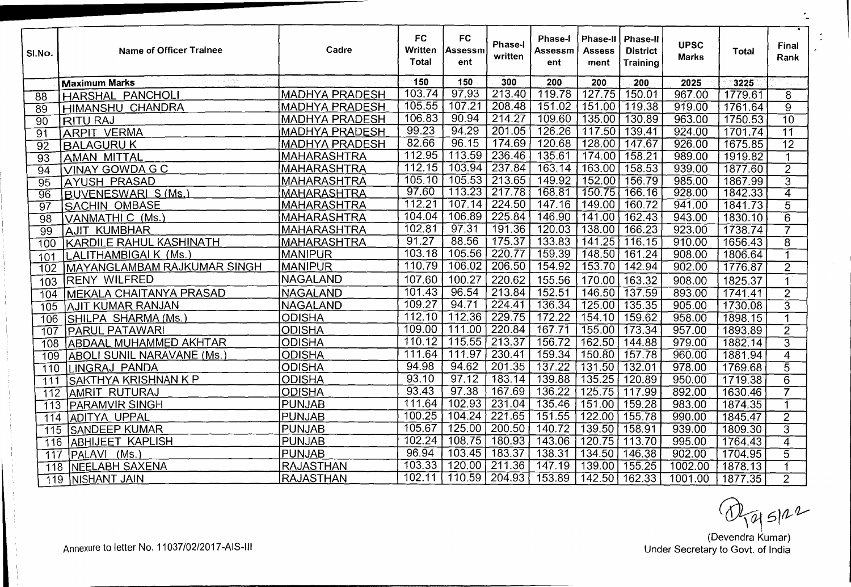| SI.No.           | Name of Officer Trainee                                                 | Cadre                 | <b>FC</b><br>Written<br><b>Total</b> | <b>FC</b><br>Assessm<br>ent | Phase-I<br>written  | <b>Phase-I</b><br>Assessm<br>ent | Phase-II<br>Assess<br>ment | ∣ Phase-II<br><b>District</b><br><b>Training</b> | <b>UPSC</b><br><b>Marks</b> | Total   | Final<br>Rank   |
|------------------|-------------------------------------------------------------------------|-----------------------|--------------------------------------|-----------------------------|---------------------|----------------------------------|----------------------------|--------------------------------------------------|-----------------------------|---------|-----------------|
|                  | $\gamma_{\rm{B}}=\gamma_{\rm{B}}^{(0)}$ and the<br><b>Maximum Marks</b> |                       | 150                                  | 150                         | 300                 | 200                              | 200                        | 200                                              | 2025                        | 3225    |                 |
| 88               | <b>HARSHAL PANCHOLI</b>                                                 | <b>MADHYA PRADESH</b> | 103.74                               | 97.93                       | 213.40              | 119.78                           | 127.75                     | 150.01                                           | 967.00                      | 1779.61 | 8               |
| $\overline{89}$  | <b>HIMANSHU CHANDRA</b>                                                 | <b>MADHYA PRADESH</b> | 105.55                               | 107.21                      | 208.48              | 151.02                           | 151.00                     | 119.38                                           | 919.00                      | 1761.64 | $\overline{9}$  |
| 90               | <b>RITU RAJ</b>                                                         | <b>MADHYA PRADESH</b> | 106.83                               | 90.94                       | 214.27              | 109.60                           | 135.00                     | 130.89                                           | 963.00                      | 1750.53 | 70              |
| $\overline{91}$  | <b>ARPIT VERMA</b>                                                      | <b>MADHYA PRADESH</b> | 99.23                                | 94.29                       | 201.05              | 126.26                           | 117.50                     | 139.41                                           | 924.00                      | 1701.74 | $\overline{11}$ |
| $\overline{92}$  | <b>BALAGURU K</b>                                                       | <b>MADHYA PRADESH</b> | 82.66                                | 96.15                       | 174.69              | 120.68                           | 128.00                     | 147.67                                           | 926.00                      | 1675.85 | 72              |
| $\overline{93}$  | <b>AMAN MITTAL</b>                                                      | <b>MAHARASHTRA</b>    | 112.95                               | 113.59                      | 236.46              | 135.61                           | 174.00                     | 158.21                                           | 989.00                      | 1919.82 | 1               |
| 94               | VINAY GOWDA G C                                                         | <b>MAHARASHTRA</b>    | 112.15                               | 103.94                      | 237.84              | 163.14                           | 163.00                     | 158.53                                           | 939.00                      | 1877.60 | $\overline{2}$  |
| $\overline{95}$  | <b>AYUSH PRASAD</b>                                                     | <b>MAHARASHTRA</b>    | 105.10                               | 105.53                      | 213.65              | 149.92                           | 152.00                     | 156.79                                           | 985.00                      | 1867.99 | $\overline{3}$  |
| $\overline{96}$  | BUVENESWARL S (Ms.)                                                     | <b>MAHARASHTRA</b>    | 97.60                                | 113.23                      | 217.78              | 168.81                           | 150.75                     | 166.16                                           | 928.00                      | 1842.33 | 4               |
| $\overline{9}7$  | <b>SACHIN OMBASE</b>                                                    | MAHARASHTRA           | 112.21                               | 107.14                      | 224.50              | 147.16                           | 149.00                     | 160.72                                           | 941.00                      | 1841.73 | $\overline{5}$  |
| $\overline{98}$  | VANMATHI C (Ms.                                                         | MAHARASHTRA           | $\sqrt{104.04}$                      | 106.89                      | 225.84              | 146.90                           | 141.00                     | 162.43                                           | 943.00                      | 1830.10 | $\overline{6}$  |
| $\overline{9}9$  | <b>AJIT KUMBHAR</b>                                                     | MAHARASHTRA           | 102.81                               | 97.31                       | 191.36              | 120.03                           | 138.00                     | 166.23                                           | 923.00                      | 1738.74 | 7               |
| 100              | KARDILE RAHUL KASHINATH                                                 | MAHARASHTRA           | 91.27                                | 88.56                       | 175.37              | 133.83                           | 141.25                     | 116.15                                           | 910.00                      | 1656.43 | $\overline{8}$  |
| 101              | LALITHAMBIGAI K (Ms.)                                                   | <b>MANIPUR</b>        | 103.18                               | 105.56                      | 220.77              | 159.39                           | 148.50                     | 161.24                                           | 908.00                      | 1806.64 | 1               |
| 102              | MAYANGLAMBAM RAJKUMAR SINGH                                             | MANIPUR               | 110.79                               | 106.02                      | 206.50              | 154.92                           | 153.70                     | 142.94                                           | 902.00                      | 1776.87 | $\overline{2}$  |
| 103              | <b>RENY WILFRED</b>                                                     | NAGALAND              | 107.60                               | 100.27                      | 220.62              | 155.56                           | 170.00                     | 163.32                                           | 908.00                      | 1825.37 | 1               |
| 104              | <b>MEKALA CHAITANYA PRASAD</b>                                          | <b>NAGALAND</b>       | 101.43                               | 96.54                       | $\sqrt{213.84}$     | 152.51                           | 146.50                     | 137.59                                           | 893.00                      | 1741.41 | $\overline{2}$  |
| 105              | AJIT KUMAR RANJAN                                                       | <b>NAGALAND</b>       | 109.27                               | 94.71                       | 224.41              | 136.34                           | 125.00                     | 135.35                                           | 905.00                      | 1730.08 | $\overline{3}$  |
| $\overline{106}$ | [SHILPA_SH <u>ARMA (Ms.)</u>                                            | <b>ODISHA</b>         | 112.10                               | 112.36                      | 229.75              | 172.22                           | 154.10                     | 159.62                                           | 958.00                      | 1898.15 | 1               |
| $\overline{107}$ | <b>PARUL PATAWARI</b>                                                   | <b>ODISHA</b>         | 109.00                               | 111.00                      | $\overline{220.84}$ | 167.71                           | 155.00                     | 173.34                                           | 957.00                      | 1893.89 | $\overline{2}$  |
| 108              | ABDAAL MUHAMMED AKHTAR                                                  | <b>ODISHA</b>         | 110.12                               | 115.55                      | 213.37              | 156.72                           | 162.50                     | 144.88                                           | 979.00                      | 1882.14 | $\overline{3}$  |
| 109              | <b>TABOLI SUNIL NARAVANE (Ms.)</b>                                      | <b>ODISHA</b>         | 111.64                               | 111.97                      | 230.41              | 159.34                           | 150.80                     | 157.78                                           | 960.00                      | 1881.94 | $\overline{4}$  |
| 110              | LINGRAJ PANDA                                                           | <b>ODISHA</b>         | 94.98                                | 94.62                       | 201.35              | 137.22                           | 131.50                     | 132.01                                           | 978.00                      | 1769.68 | $\overline{5}$  |
| ີ111             | SAKTHYA KRISHNAN K P                                                    | <b>ODISHA</b>         | 93.10                                | 97.12                       | 183.14              | 139.88                           | 135.25                     | 120.89                                           | 950.00                      | 1719.38 | $\overline{6}$  |
| 112              | TAMRIT RUTURAJ                                                          | <b>ODISHA</b>         | 93.43                                | 97.38                       | 167.69              | 136.22                           | 125.75                     | 117.99                                           | 892.00                      | 1630.46 | 7               |
| $\overline{1}13$ | <b>PARAMVIR SINGH</b>                                                   | <b>PUNJAB</b>         | 111.64                               | $\sqrt{102.93}$             | 231.04              | 135.46                           | 151.00                     | 159.28                                           | 983.00                      | 1874.35 | $\overline{1}$  |
| 114              | TADITYA UPPAL                                                           | <b>PUNJAB</b>         | 100.25                               | 104.24                      | $\overline{221.65}$ | 151.55                           | 122.00                     | 155.78                                           | 990.00                      | 1845,47 | $\overline{2}$  |
| $\overline{115}$ | <b>SANDEEP KUMAR</b>                                                    | <b>PUNJAB</b>         | 105.67                               | 125.00                      | $\sqrt{200.50}$     | 140.72                           | 139.50                     | 158.91                                           | 939.00                      | 1809.30 | $\overline{3}$  |
| 116              | TABHIJEET KAPLISH                                                       | PUNJAB                | 102.24                               | 108.75                      | 180.93              | 143.06                           | 120.75                     | 113.70                                           | 995.00                      | 1764.43 | $\overline{4}$  |
| 117              | [PALAVI (Ms.)                                                           | <b>PUNJAB</b>         | 96.94                                | 103.45                      | 183.37              | 138.31                           | 134.50                     | $\overline{146.38}$                              | 902.00                      | 1704.95 | $\overline{5}$  |
|                  | 118 NEELABH SAXENA                                                      | <b>RAJASTHAN</b>      | 103.33                               | 120.00                      | 211.36              | 147.19                           | 139.00                     | 155.25                                           | 1002.00                     | 1878.13 | $\overline{1}$  |
|                  | 119 NISHANT JAIN                                                        | <b>RAJASTHAN</b>      | 102.11                               | 110.59                      | $\sqrt{204.93}$     | 153.89                           | 142.50                     | 162.33                                           | 1001.00                     | 1877.35 | $\overline{2}$  |

(Devendra Kumar) Under Secretary to Govt. of India

Annexure to letter No. 11037/02/2017-AIS-III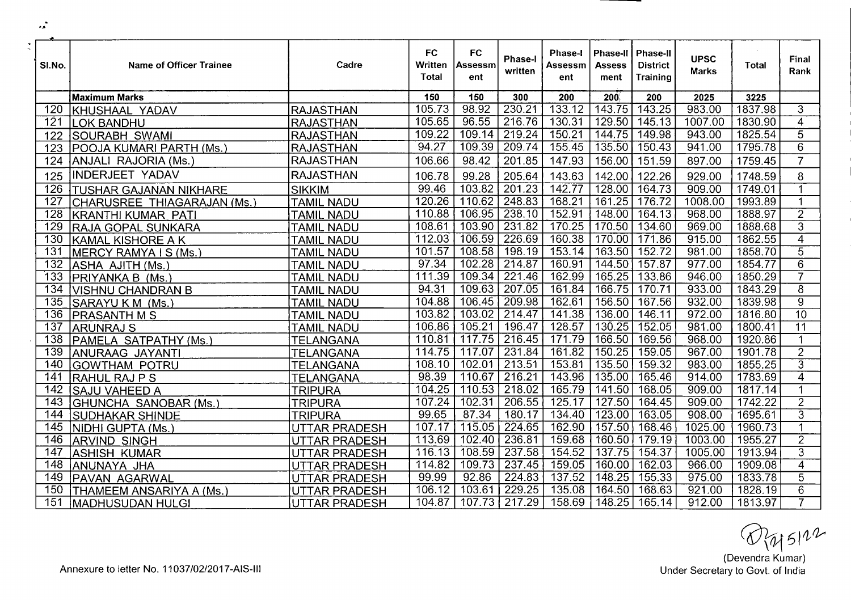| SI.No.           | Name of Officer Trainee       | Cadre                | <b>FC</b><br>Written<br><b>Total</b> | <b>FC</b><br>Assessm<br>ent | Phase-I<br>written | Phase-I<br>Assessm<br>ent | <b>Phase-II</b><br><b>Assess</b><br>ment | <b>Phase-II</b><br><b>District</b><br>Training | <b>UPSC</b><br><b>Marks</b> | Total   | Final<br>Rank           |
|------------------|-------------------------------|----------------------|--------------------------------------|-----------------------------|--------------------|---------------------------|------------------------------------------|------------------------------------------------|-----------------------------|---------|-------------------------|
|                  | <b>Maximum Marks</b>          |                      | 150                                  | 150                         | 300                | 200                       | $200^\circ$                              | 200                                            | 2025                        | 3225    |                         |
| 120              | KHUSHAAL YADAV                | <b>RAJASTHAN</b>     | 105.73                               | 98.92                       | 230.21             | 133.12                    | 143.75                                   | 143.25                                         | 983.00                      | 1837.98 | 3                       |
| 121              | <b>LOK BANDHU</b>             | <b>RAJASTHAN</b>     | 105.65                               | 96.55                       | 216.76             | 130.31                    | 129.50                                   | 145.13                                         | 1007.00                     | 1830.90 | $\overline{4}$          |
| 122              | SOURABH SWAMI                 | <b>RAJASTHAN</b>     | 109.22                               | 109.14                      | 219.24             | 150.21                    | 144.75                                   | 149.98                                         | 943.00                      | 1825.54 | $\overline{5}$          |
| 123              | POOJA KUMARI PARTH (Ms.)      | <b>RAJASTHAN</b>     | 94.27                                | 109.39                      | 209.74             | 155.45                    | 135.50                                   | 150.43                                         | 941.00                      | 1795.78 | $\overline{6}$          |
| 124              | ANJALI RAJORIA (Ms.)          | <b>RAJASTHAN</b>     | 106.66                               | 98.42                       | 201.85             | 147.93                    | 156.00                                   | 151.59                                         | 897.00                      | 1759.45 | $\overline{7}$          |
| 125              | <b>INDERJEET YADAV</b>        | <b>RAJASTHAN</b>     | 106.78                               | 99.28                       | 205.64             | 143.63                    | 142.00                                   | 122.26                                         | 929.00                      | 1748.59 | 8                       |
| 126              | <b>TUSHAR GAJANAN NIKHARE</b> | <b>SIKKIM</b>        | 99.46                                | 103.82                      | 201.23             | 142.77                    | 128.00                                   | 164.73                                         | 909.00                      | 1749.01 | 1                       |
| 127              | CHARUSREE THIAGARAJAN (Ms.)   | <b>TAMIL NADU</b>    | 120.26                               | 110.62                      | 248.83             | 168.21                    | 161.25                                   | 176.72                                         | 1008.00                     | 1993.89 | $\blacktriangleleft$    |
| $\overline{128}$ | <b>KRANTHI KUMAR PATI</b>     | <b>TAMIL NADU</b>    | 110.88                               | 106.95                      | 238.10             | 152.91                    | 148.00                                   | 164.13                                         | 968.00                      | 1888.97 | $\overline{2}$          |
| 129              | RAJA GOPAL SUNKARA            | <b>TAMIL NADU</b>    | 108.61                               | 103.90                      | 231.82             | 170.25                    | 170.50                                   | 134.60                                         | 969.00                      | 1888.68 | $\overline{3}$          |
| 130              | KAMAL KISHORE A K             | <b>TAMIL NADU</b>    | 112.03                               | 106.59                      | 226.69             | 160.38                    | 170.00                                   | 171.86                                         | 915.00                      | 1862.55 | $\overline{4}$          |
| 131              | MERCY RAMYA I S (Ms.          | <b>TAMIL NADU</b>    | 101.57                               | 108.58                      | 198.19             | 153.14                    | 163.50                                   | 152.72                                         | 981.00                      | 1858.70 | $\overline{5}$          |
| 132              | ASHA AJITH (Ms.)              | <b>TAMIL NADU</b>    | 97.34                                | 102.28                      | 214.87             | 160.91                    | 144.50                                   | 157.87                                         | 977.00                      | 1854.77 | $\overline{6}$          |
| 133              | PRIYANKA B (Ms.)              | <b>TAMIL NADU</b>    | 111.39                               | 109.34                      | 221.46             | 162.99                    | 165.25                                   | 133.86                                         | 946.00                      | 1850.29 | $\overline{\mathbf{z}}$ |
| 134              | VISHNU CHANDRAN B             | <b>TAMIL NADU</b>    | 94.31                                | 109.63                      | 207.05             | 161.84                    | 166.75                                   | 170.71                                         | 933.00                      | 1843.29 | $\overline{8}$          |
| 135              | SARAYUKM (Ms.)                | <b>TAMIL NADU</b>    | 104.88                               | 106.45                      | 209.98             | 162.61                    | 156.50                                   | 167.56                                         | 932.00                      | 1839.98 | $\overline{9}$          |
| 136              | <b>PRASANTH M S</b>           | <b>TAMIL NADU</b>    | 103.82                               | 103.02                      | 214.47             | 141.38                    | 136.00                                   | 146.11                                         | 972.00                      | 1816.80 | $\overline{10}$         |
| 137              | <b>ARUNRAJ S</b>              | <b>TAMIL NADU</b>    | 106.86                               | 105.21                      | 196.47             | 128.57                    | 130.25                                   | 152.05                                         | 981.00                      | 1800.41 | 11                      |
| 138              | PAMELA SATPATHY (Ms.)         | <b>TELANGANA</b>     | 110.81                               | 117.75                      | 216.45             | 171.79                    | 166.50                                   | 169.56                                         | 968.00                      | 1920.86 | 1                       |
| 139              | ANURAAG JAYANTI               | TELANGANA            | 114.75                               | 117.07                      | 231.84             | 161.82                    | 150.25                                   | 159.05                                         | 967.00                      | 1901.78 | $\overline{2}$          |
| 140              | <b>GOWTHAM POTRU</b>          | <b>TELANGANA</b>     | 108.10                               | 102.01                      | 213.51             | 153.81                    | 135.50                                   | 159.32                                         | 983.00                      | 1855.25 | $\overline{3}$          |
| 141              | <b>RAHUL RAJ P S</b>          | <b>TELANGANA</b>     | 98.39                                | 110.67                      | 216.21             | 143.96                    | 135.00                                   | 165.46                                         | 914.00                      | 1783.69 | $\overline{4}$          |
| $\overline{142}$ | SAJU VAHEED A                 | <b>TRIPURA</b>       | 104.25                               | 110.53                      | 218.02             | 165.79                    | 141.50                                   | 168.05                                         | 909.00                      | 1817.14 |                         |
| 143              | GHUNCHA SANOBAR (Ms.)         | <b>TRIPURA</b>       | 107.24                               | 102.31                      | 206.55             | 125.17                    | 127.50                                   | 164.45                                         | 909.00                      | 1742.22 | $\overline{2}$          |
| 144              | <b>SUDHAKAR SHINDE</b>        | <b>TRIPURA</b>       | 99.65                                | 87.34                       | 180.17             | 134.40                    | 123.00                                   | 163.05                                         | 908.00                      | 1695.61 | $\overline{3}$          |
| 145              | NIDHI GUPTA (Ms.)             | UTTAR PRADESH        | 107.17                               | 115.05                      | 224.65             | 162.90                    | 157.50                                   | 168.46                                         | 1025.00                     | 1960.73 | 1                       |
| 146              | <b>ARVIND SINGH</b>           | UTTAR PRADESH        | 113.69                               | 102.40                      | 236.81             | 159.68                    | 160.50                                   | 179.19                                         | 1003.00                     | 1955.27 | $\overline{2}$          |
| 147              | <b>ASHISH KUMAR</b>           | UTTAR PRADESH        | 116.13                               | 108.59                      | 237.58             | 154.52                    | 137.75                                   | 154.37                                         | 1005.00                     | 1913.94 | $\overline{3}$          |
| 148              | ANUNAYA JHA                   | UTTAR PRADESH        | 114.82                               | 109.73                      | 237.45             | 159.05                    | 160.00                                   | 162.03                                         | 966.00                      | 1909.08 | $\overline{4}$          |
| 149              | PAVAN AGARWAL                 | <b>UTTAR PRADESH</b> | 99.99                                | 92.86                       | 224.83             | 137.52                    | 148.25                                   | 155.33                                         | 975.00                      | 1833.78 | $\overline{5}$          |
| 150              | İTHAMEEM ANSARIYA A (Ms.      | UTTAR PRADESH        | 106.12                               | 103.61                      | 229.25             | 135.08                    | 164.50                                   | 168.63                                         | 921.00                      | 1828.19 | 6                       |
| 151              | MADHUSUDAN HULGI              | UTTAR PRADESH        | 104.87                               | 107.73                      | 217.29             | 158.69                    | 148.25                                   | $\boxed{165.14}$                               | 912.00                      | 1813.97 | 7                       |

 $@>{\mathcal{W}} \leq 112$ <br>(Devendra Kumar)<br>Under Secretary to Govt. of India

 $\sim$